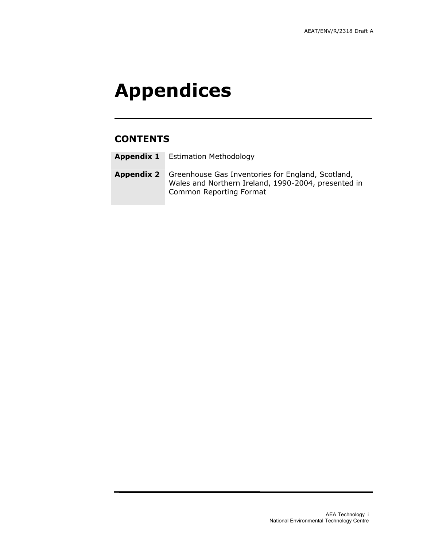# Appendices

# **CONTENTS**

Appendix 2 Greenhouse Gas Inventories for England, Scotland, Wales and Northern Ireland, 1990-2004, presented in Common Reporting Format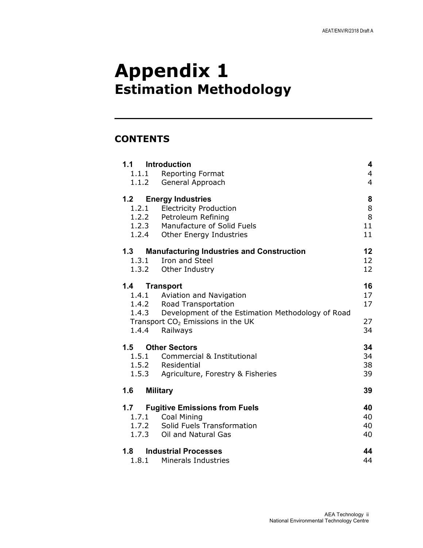# Appendix 1 Estimation Methodology

# **CONTENTS**

| 1.1                          | <b>Introduction</b>                                     | $\overline{\mathbf{4}}$ |  |  |
|------------------------------|---------------------------------------------------------|-------------------------|--|--|
|                              | 1.1.1 Reporting Format                                  | $\overline{4}$          |  |  |
| 1.1.2                        | General Approach                                        | $\overline{4}$          |  |  |
| 1.2                          | <b>Energy Industries</b>                                | 8                       |  |  |
|                              | 1.2.1 Electricity Production                            | 8                       |  |  |
|                              | 1.2.2 Petroleum Refining                                | 8                       |  |  |
|                              | 1.2.3 Manufacture of Solid Fuels                        | 11                      |  |  |
|                              | 1.2.4 Other Energy Industries                           | 11                      |  |  |
| 1.3                          | <b>Manufacturing Industries and Construction</b>        | 12                      |  |  |
|                              | 1.3.1 Iron and Steel                                    | 12                      |  |  |
|                              | 1.3.2 Other Industry                                    | 12                      |  |  |
| 1.4                          | <b>Transport</b>                                        | 16                      |  |  |
|                              | 1.4.1 Aviation and Navigation                           | 17                      |  |  |
|                              | 1.4.2 Road Transportation                               | 17                      |  |  |
|                              | 1.4.3 Development of the Estimation Methodology of Road |                         |  |  |
|                              | Transport $CO2$ Emissions in the UK                     | 27                      |  |  |
|                              | 1.4.4 Railways                                          | 34                      |  |  |
|                              | 1.5 Other Sectors                                       | 34                      |  |  |
| 1.5.1                        | Commercial & Institutional                              | 34                      |  |  |
|                              | 1.5.2 Residential                                       | 38                      |  |  |
| 1.5.3                        | Agriculture, Forestry & Fisheries                       | 39                      |  |  |
| 1.6<br><b>Military</b><br>39 |                                                         |                         |  |  |
| 1.7                          | <b>Fugitive Emissions from Fuels</b>                    | 40                      |  |  |
|                              | 1.7.1 Coal Mining                                       | 40                      |  |  |
|                              | 1.7.2 Solid Fuels Transformation                        | 40                      |  |  |
|                              | 1.7.3 Oil and Natural Gas                               | 40                      |  |  |
|                              | 1.8 Industrial Processes                                | 44                      |  |  |
|                              | 1.8.1 Minerals Industries                               | 44                      |  |  |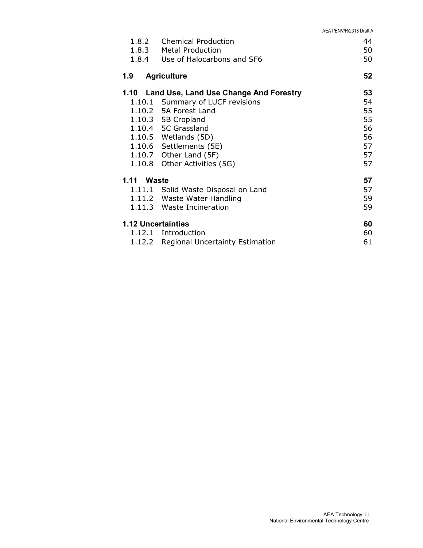| 1.8.2<br>1.8.3<br>1.8.4   | <b>Chemical Production</b><br><b>Metal Production</b><br>Use of Halocarbons and SF6                                                                                                                                                                                  |                                                    |  |
|---------------------------|----------------------------------------------------------------------------------------------------------------------------------------------------------------------------------------------------------------------------------------------------------------------|----------------------------------------------------|--|
| 1.9                       | <b>Agriculture</b>                                                                                                                                                                                                                                                   | 52                                                 |  |
|                           | 1.10 Land Use, Land Use Change And Forestry<br>1.10.1 Summary of LUCF revisions<br>1.10.2 5A Forest Land<br>1.10.3 5B Cropland<br>1.10.4 5C Grassland<br>1.10.5 Wetlands (5D)<br>1.10.6 Settlements (5E)<br>1.10.7 Other Land $(5F)$<br>1.10.8 Other Activities (5G) | 53<br>54<br>55<br>55<br>56<br>56<br>57<br>57<br>57 |  |
| 1.11 Waste<br>1.11.1      | Solid Waste Disposal on Land<br>1.11.2 Waste Water Handling<br>1.11.3 Waste Incineration                                                                                                                                                                             | 57<br>57<br>59<br>59                               |  |
| <b>1.12 Uncertainties</b> | 1.12.1 Introduction<br>1.12.2 Regional Uncertainty Estimation                                                                                                                                                                                                        | 60<br>60<br>61                                     |  |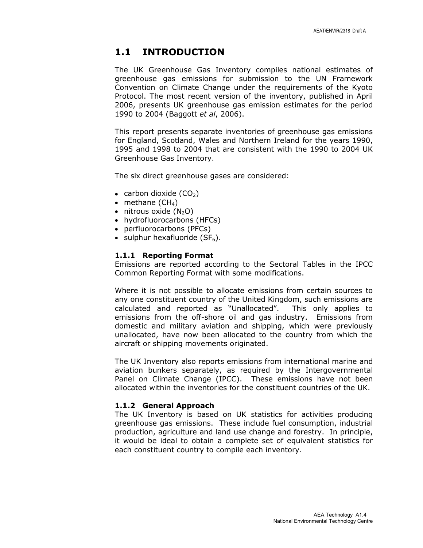### 1.1 INTRODUCTION

The UK Greenhouse Gas Inventory compiles national estimates of greenhouse gas emissions for submission to the UN Framework Convention on Climate Change under the requirements of the Kyoto Protocol. The most recent version of the inventory, published in April 2006, presents UK greenhouse gas emission estimates for the period 1990 to 2004 (Baggott et al, 2006).

This report presents separate inventories of greenhouse gas emissions for England, Scotland, Wales and Northern Ireland for the years 1990, 1995 and 1998 to 2004 that are consistent with the 1990 to 2004 UK Greenhouse Gas Inventory.

The six direct greenhouse gases are considered:

- carbon dioxide  $(CO<sub>2</sub>)$
- methane  $(CH_4)$
- $\bullet$  nitrous oxide  $(N_2O)$
- hydrofluorocarbons (HFCs)
- perfluorocarbons (PFCs)
- sulphur hexafluoride  $(SF_6)$ .

#### 1.1.1 Reporting Format

Emissions are reported according to the Sectoral Tables in the IPCC Common Reporting Format with some modifications.

Where it is not possible to allocate emissions from certain sources to any one constituent country of the United Kingdom, such emissions are calculated and reported as "Unallocated". This only applies to emissions from the off-shore oil and gas industry. Emissions from domestic and military aviation and shipping, which were previously unallocated, have now been allocated to the country from which the aircraft or shipping movements originated.

The UK Inventory also reports emissions from international marine and aviation bunkers separately, as required by the Intergovernmental Panel on Climate Change (IPCC). These emissions have not been allocated within the inventories for the constituent countries of the UK.

#### 1.1.2 General Approach

The UK Inventory is based on UK statistics for activities producing greenhouse gas emissions. These include fuel consumption, industrial production, agriculture and land use change and forestry. In principle, it would be ideal to obtain a complete set of equivalent statistics for each constituent country to compile each inventory.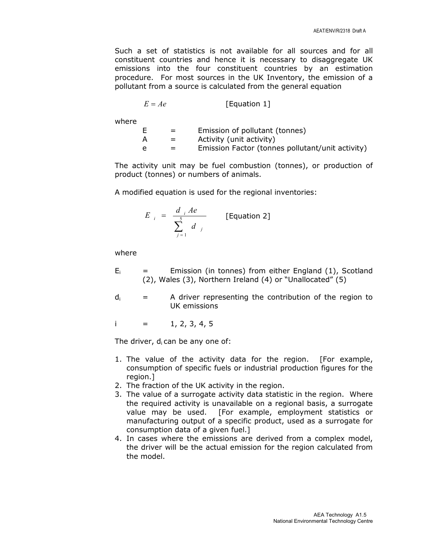Such a set of statistics is not available for all sources and for all constituent countries and hence it is necessary to disaggregate UK emissions into the four constituent countries by an estimation procedure. For most sources in the UK Inventory, the emission of a pollutant from a source is calculated from the general equation

$$
E = Ae
$$
 [Equation 1]

where

| $=$ | Emission of pollutant (tonnes)                   |
|-----|--------------------------------------------------|
|     | Activity (unit activity)                         |
| $=$ | Emission Factor (tonnes pollutant/unit activity) |

The activity unit may be fuel combustion (tonnes), or production of product (tonnes) or numbers of animals.

A modified equation is used for the regional inventories:

$$
E_{i} = \frac{d_{i} Ae}{\sum_{j=1}^{5} d_{j}}
$$
 [Equation 2]

where

- $E_i$  = Emission (in tonnes) from either England (1), Scotland (2), Wales (3), Northern Ireland (4) or "Unallocated" (5)
- $d_i$  = A driver representing the contribution of the region to UK emissions

$$
i = 1, 2, 3, 4, 5
$$

The driver,  $d_i$  can be any one of:

- 1. The value of the activity data for the region. [For example, consumption of specific fuels or industrial production figures for the region.]
- 2. The fraction of the UK activity in the region.
- 3. The value of a surrogate activity data statistic in the region. Where the required activity is unavailable on a regional basis, a surrogate value may be used. [For example, employment statistics or manufacturing output of a specific product, used as a surrogate for consumption data of a given fuel.]
- 4. In cases where the emissions are derived from a complex model, the driver will be the actual emission for the region calculated from the model.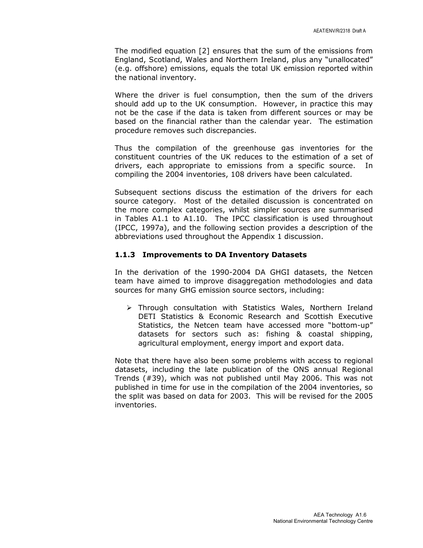The modified equation [2] ensures that the sum of the emissions from England, Scotland, Wales and Northern Ireland, plus any "unallocated" (e.g. offshore) emissions, equals the total UK emission reported within the national inventory.

Where the driver is fuel consumption, then the sum of the drivers should add up to the UK consumption. However, in practice this may not be the case if the data is taken from different sources or may be based on the financial rather than the calendar year. The estimation procedure removes such discrepancies.

Thus the compilation of the greenhouse gas inventories for the constituent countries of the UK reduces to the estimation of a set of drivers, each appropriate to emissions from a specific source. In compiling the 2004 inventories, 108 drivers have been calculated.

Subsequent sections discuss the estimation of the drivers for each source category. Most of the detailed discussion is concentrated on the more complex categories, whilst simpler sources are summarised in Tables A1.1 to A1.10. The IPCC classification is used throughout (IPCC, 1997a), and the following section provides a description of the abbreviations used throughout the Appendix 1 discussion.

#### 1.1.3 Improvements to DA Inventory Datasets

In the derivation of the 1990-2004 DA GHGI datasets, the Netcen team have aimed to improve disaggregation methodologies and data sources for many GHG emission source sectors, including:

 Through consultation with Statistics Wales, Northern Ireland DETI Statistics & Economic Research and Scottish Executive Statistics, the Netcen team have accessed more "bottom-up" datasets for sectors such as: fishing & coastal shipping, agricultural employment, energy import and export data.

Note that there have also been some problems with access to regional datasets, including the late publication of the ONS annual Regional Trends (#39), which was not published until May 2006. This was not published in time for use in the compilation of the 2004 inventories, so the split was based on data for 2003. This will be revised for the 2005 inventories.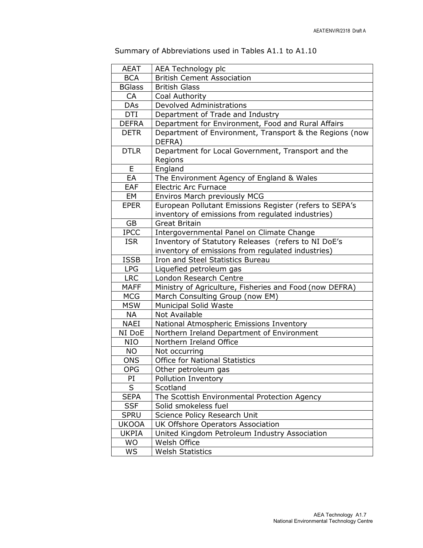| Summary of Abbreviations used in Tables A1.1 to A1.10 |  |
|-------------------------------------------------------|--|
|                                                       |  |

| <b>AEAT</b>   | AEA Technology plc                                                |  |  |
|---------------|-------------------------------------------------------------------|--|--|
| <b>BCA</b>    | <b>British Cement Association</b>                                 |  |  |
| <b>BGlass</b> | <b>British Glass</b>                                              |  |  |
| CA            | Coal Authority                                                    |  |  |
| <b>DAs</b>    | <b>Devolved Administrations</b>                                   |  |  |
| <b>DTI</b>    | Department of Trade and Industry                                  |  |  |
| <b>DEFRA</b>  | Department for Environment, Food and Rural Affairs                |  |  |
| <b>DETR</b>   | Department of Environment, Transport & the Regions (now<br>DEFRA) |  |  |
| <b>DTLR</b>   | Department for Local Government, Transport and the                |  |  |
|               | Regions                                                           |  |  |
| E             | England                                                           |  |  |
| EA            | The Environment Agency of England & Wales                         |  |  |
| EAF           | <b>Electric Arc Furnace</b>                                       |  |  |
| EM            | <b>Enviros March previously MCG</b>                               |  |  |
| <b>EPER</b>   | European Pollutant Emissions Register (refers to SEPA's           |  |  |
|               | inventory of emissions from regulated industries)                 |  |  |
| <b>GB</b>     | <b>Great Britain</b>                                              |  |  |
| <b>IPCC</b>   | Intergovernmental Panel on Climate Change                         |  |  |
| <b>ISR</b>    | Inventory of Statutory Releases (refers to NI DoE's               |  |  |
|               | inventory of emissions from regulated industries)                 |  |  |
| <b>ISSB</b>   | Iron and Steel Statistics Bureau                                  |  |  |
| <b>LPG</b>    | Liquefied petroleum gas                                           |  |  |
| <b>LRC</b>    | London Research Centre                                            |  |  |
| <b>MAFF</b>   | Ministry of Agriculture, Fisheries and Food (now DEFRA)           |  |  |
| <b>MCG</b>    | March Consulting Group (now EM)                                   |  |  |
| <b>MSW</b>    | <b>Municipal Solid Waste</b>                                      |  |  |
| <b>NA</b>     | Not Available                                                     |  |  |
| <b>NAEI</b>   | National Atmospheric Emissions Inventory                          |  |  |
| NI DoE        | Northern Ireland Department of Environment                        |  |  |
| <b>NIO</b>    | Northern Ireland Office                                           |  |  |
| <b>NO</b>     | Not occurring                                                     |  |  |
| <b>ONS</b>    | <b>Office for National Statistics</b>                             |  |  |
| <b>OPG</b>    | Other petroleum gas                                               |  |  |
| PI            | Pollution Inventory                                               |  |  |
| S             | Scotland                                                          |  |  |
| <b>SEPA</b>   | The Scottish Environmental Protection Agency                      |  |  |
| <b>SSF</b>    | Solid smokeless fuel                                              |  |  |
| <b>SPRU</b>   | Science Policy Research Unit                                      |  |  |
| <b>UKOOA</b>  | UK Offshore Operators Association                                 |  |  |
| <b>UKPIA</b>  | United Kingdom Petroleum Industry Association                     |  |  |
| <b>WO</b>     | Welsh Office                                                      |  |  |
| WS            | <b>Welsh Statistics</b>                                           |  |  |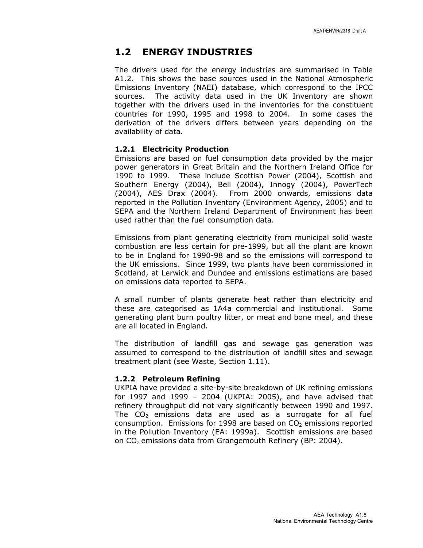# 1.2 ENERGY INDUSTRIES

The drivers used for the energy industries are summarised in Table A1.2. This shows the base sources used in the National Atmospheric Emissions Inventory (NAEI) database, which correspond to the IPCC sources. The activity data used in the UK Inventory are shown together with the drivers used in the inventories for the constituent countries for 1990, 1995 and 1998 to 2004. In some cases the derivation of the drivers differs between years depending on the availability of data.

#### 1.2.1 Electricity Production

Emissions are based on fuel consumption data provided by the major power generators in Great Britain and the Northern Ireland Office for 1990 to 1999. These include Scottish Power (2004), Scottish and Southern Energy (2004), Bell (2004), Innogy (2004), PowerTech (2004), AES Drax (2004). From 2000 onwards, emissions data reported in the Pollution Inventory (Environment Agency, 2005) and to SEPA and the Northern Ireland Department of Environment has been used rather than the fuel consumption data.

Emissions from plant generating electricity from municipal solid waste combustion are less certain for pre-1999, but all the plant are known to be in England for 1990-98 and so the emissions will correspond to the UK emissions. Since 1999, two plants have been commissioned in Scotland, at Lerwick and Dundee and emissions estimations are based on emissions data reported to SEPA.

A small number of plants generate heat rather than electricity and these are categorised as 1A4a commercial and institutional. Some generating plant burn poultry litter, or meat and bone meal, and these are all located in England.

The distribution of landfill gas and sewage gas generation was assumed to correspond to the distribution of landfill sites and sewage treatment plant (see Waste, Section 1.11).

#### 1.2.2 Petroleum Refining

UKPIA have provided a site-by-site breakdown of UK refining emissions for 1997 and 1999 – 2004 (UKPIA: 2005), and have advised that refinery throughput did not vary significantly between 1990 and 1997. The  $CO<sub>2</sub>$  emissions data are used as a surrogate for all fuel consumption. Emissions for 1998 are based on  $CO<sub>2</sub>$  emissions reported in the Pollution Inventory (EA: 1999a). Scottish emissions are based on CO2 emissions data from Grangemouth Refinery (BP: 2004).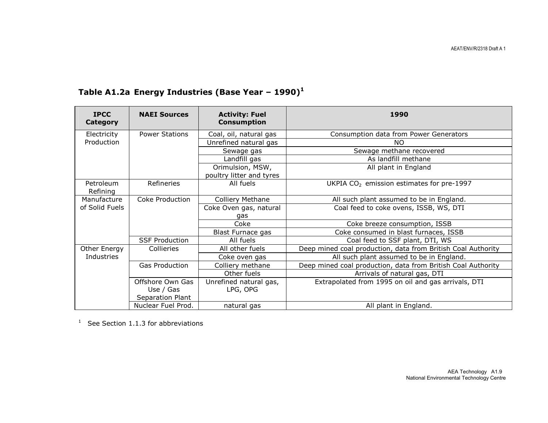| <b>IPCC</b><br>Category | <b>NAEI Sources</b>    | <b>Activity: Fuel</b><br><b>Consumption</b>  | 1990                                                         |
|-------------------------|------------------------|----------------------------------------------|--------------------------------------------------------------|
| Electricity             | <b>Power Stations</b>  | Coal, oil, natural gas                       | Consumption data from Power Generators                       |
| Production              |                        | Unrefined natural gas                        | NΟ                                                           |
|                         |                        | Sewage gas                                   | Sewage methane recovered                                     |
|                         |                        | Landfill gas                                 | As landfill methane                                          |
|                         |                        | Orimulsion, MSW,<br>poultry litter and tyres | All plant in England                                         |
| Petroleum<br>Refining   | Refineries             | All fuels                                    | UKPIA $CO2$ emission estimates for pre-1997                  |
| Manufacture             | <b>Coke Production</b> | Colliery Methane                             | All such plant assumed to be in England.                     |
| of Solid Fuels          |                        | Coke Oven gas, natural                       | Coal feed to coke ovens, ISSB, WS, DTI                       |
|                         |                        | gas<br>Coke                                  | Coke breeze consumption, ISSB                                |
|                         |                        | Blast Furnace gas                            | Coke consumed in blast furnaces, ISSB                        |
|                         | <b>SSF Production</b>  | All fuels                                    | Coal feed to SSF plant, DTI, WS                              |
| Other Energy            | Collieries             | All other fuels                              | Deep mined coal production, data from British Coal Authority |
| Industries              |                        | Coke oven gas                                | All such plant assumed to be in England.                     |
|                         | <b>Gas Production</b>  | Colliery methane                             | Deep mined coal production, data from British Coal Authority |
|                         |                        | Other fuels                                  | Arrivals of natural gas, DTI                                 |
|                         | Offshore Own Gas       | Unrefined natural gas,                       | Extrapolated from 1995 on oil and gas arrivals, DTI          |
|                         | Use / Gas              | LPG, OPG                                     |                                                              |
|                         | Separation Plant       |                                              |                                                              |
|                         | Nuclear Fuel Prod.     | natural gas                                  | All plant in England.                                        |

# Table A1.2a Energy Industries (Base Year - 1990)<sup>1</sup>

<sup>1</sup> See Section 1.1.3 for abbreviations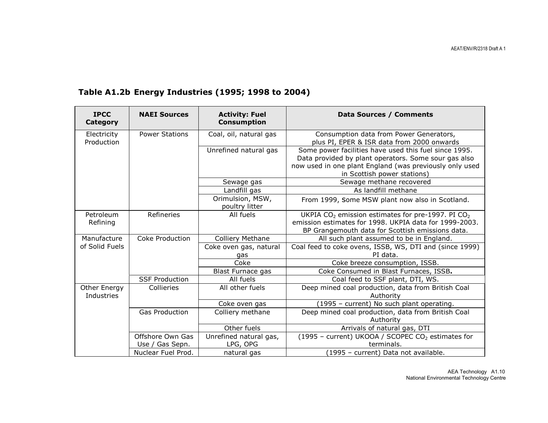| <b>IPCC</b><br><b>Category</b> | <b>NAEI Sources</b>   | <b>Activity: Fuel</b><br><b>Consumption</b> | Data Sources / Comments                                                                                                                                                                                 |
|--------------------------------|-----------------------|---------------------------------------------|---------------------------------------------------------------------------------------------------------------------------------------------------------------------------------------------------------|
| Electricity<br>Production      | <b>Power Stations</b> | Coal, oil, natural gas                      | Consumption data from Power Generators,<br>plus PI, EPER & ISR data from 2000 onwards                                                                                                                   |
|                                |                       | Unrefined natural gas                       | Some power facilities have used this fuel since 1995.<br>Data provided by plant operators. Some sour gas also<br>now used in one plant England (was previously only used<br>in Scottish power stations) |
|                                |                       | Sewage gas                                  | Sewage methane recovered                                                                                                                                                                                |
|                                |                       | Landfill gas                                | As landfill methane                                                                                                                                                                                     |
|                                |                       | Orimulsion, MSW,<br>poultry litter          | From 1999, Some MSW plant now also in Scotland.                                                                                                                                                         |
| Petroleum<br>Refining          | Refineries            | All fuels                                   | UKPIA CO <sub>2</sub> emission estimates for pre-1997. PI CO <sub>2</sub><br>emission estimates for 1998. UKPIA data for 1999-2003.<br>BP Grangemouth data for Scottish emissions data.                 |
| Manufacture                    | Coke Production       | <b>Colliery Methane</b>                     | All such plant assumed to be in England.                                                                                                                                                                |
| of Solid Fuels                 |                       | Coke oven gas, natural                      | Coal feed to coke ovens, ISSB, WS, DTI and (since 1999)                                                                                                                                                 |
|                                |                       | gas                                         | PI data.                                                                                                                                                                                                |
|                                |                       | Coke                                        | Coke breeze consumption, ISSB.                                                                                                                                                                          |
|                                |                       | Blast Furnace gas                           | Coke Consumed in Blast Furnaces, ISSB.                                                                                                                                                                  |
|                                | <b>SSF Production</b> | All fuels                                   | Coal feed to SSF plant, DTI, WS.                                                                                                                                                                        |
| Other Energy<br>Industries     | Collieries            | All other fuels                             | Deep mined coal production, data from British Coal<br>Authority                                                                                                                                         |
|                                |                       | Coke oven gas                               | (1995 - current) No such plant operating.                                                                                                                                                               |
|                                | <b>Gas Production</b> | Colliery methane                            | Deep mined coal production, data from British Coal<br>Authority                                                                                                                                         |
|                                |                       | Other fuels                                 | Arrivals of natural gas, DTI                                                                                                                                                                            |
|                                | Offshore Own Gas      | Unrefined natural gas,                      | (1995 - current) UKOOA / SCOPEC CO <sub>2</sub> estimates for                                                                                                                                           |
|                                | Use / Gas Sepn.       | LPG, OPG                                    | terminals.                                                                                                                                                                                              |
|                                | Nuclear Fuel Prod.    | natural gas                                 | (1995 - current) Data not available.                                                                                                                                                                    |

# Table A1.2b Energy Industries (1995; 1998 to 2004)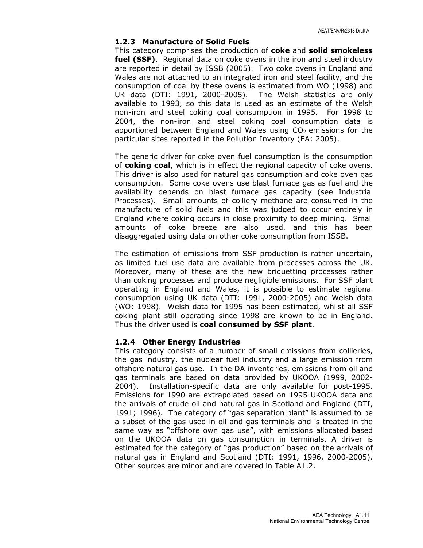#### 1.2.3 Manufacture of Solid Fuels

This category comprises the production of coke and solid smokeless fuel (SSF). Regional data on coke ovens in the iron and steel industry are reported in detail by ISSB (2005). Two coke ovens in England and Wales are not attached to an integrated iron and steel facility, and the consumption of coal by these ovens is estimated from WO (1998) and UK data (DTI: 1991, 2000-2005). The Welsh statistics are only available to 1993, so this data is used as an estimate of the Welsh non-iron and steel coking coal consumption in 1995. For 1998 to 2004, the non-iron and steel coking coal consumption data is apportioned between England and Wales using  $CO<sub>2</sub>$  emissions for the particular sites reported in the Pollution Inventory (EA: 2005).

The generic driver for coke oven fuel consumption is the consumption of coking coal, which is in effect the regional capacity of coke ovens. This driver is also used for natural gas consumption and coke oven gas consumption. Some coke ovens use blast furnace gas as fuel and the availability depends on blast furnace gas capacity (see Industrial Processes). Small amounts of colliery methane are consumed in the manufacture of solid fuels and this was judged to occur entirely in England where coking occurs in close proximity to deep mining. Small amounts of coke breeze are also used, and this has been disaggregated using data on other coke consumption from ISSB.

The estimation of emissions from SSF production is rather uncertain, as limited fuel use data are available from processes across the UK. Moreover, many of these are the new briquetting processes rather than coking processes and produce negligible emissions. For SSF plant operating in England and Wales, it is possible to estimate regional consumption using UK data (DTI: 1991, 2000-2005) and Welsh data (WO: 1998). Welsh data for 1995 has been estimated, whilst all SSF coking plant still operating since 1998 are known to be in England. Thus the driver used is coal consumed by SSF plant.

#### 1.2.4 Other Energy Industries

This category consists of a number of small emissions from collieries, the gas industry, the nuclear fuel industry and a large emission from offshore natural gas use. In the DA inventories, emissions from oil and gas terminals are based on data provided by UKOOA (1999, 2002- 2004). Installation-specific data are only available for post-1995. Emissions for 1990 are extrapolated based on 1995 UKOOA data and the arrivals of crude oil and natural gas in Scotland and England (DTI, 1991; 1996). The category of "gas separation plant" is assumed to be a subset of the gas used in oil and gas terminals and is treated in the same way as "offshore own gas use", with emissions allocated based on the UKOOA data on gas consumption in terminals. A driver is estimated for the category of "gas production" based on the arrivals of natural gas in England and Scotland (DTI: 1991, 1996, 2000-2005). Other sources are minor and are covered in Table A1.2.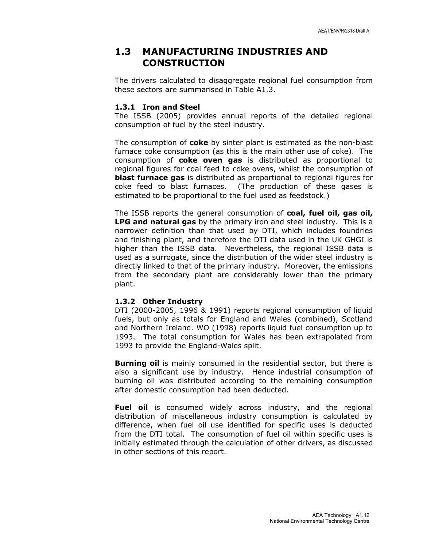## 1.3 MANUFACTURING INDUSTRIES AND **CONSTRUCTION**

The drivers calculated to disaggregate regional fuel consumption from these sectors are summarised in Table A1.3.

#### 1.3.1 Iron and Steel

The ISSB (2005) provides annual reports of the detailed regional consumption of fuel by the steel industry.

The consumption of **coke** by sinter plant is estimated as the non-blast furnace coke consumption (as this is the main other use of coke). The consumption of coke oven gas is distributed as proportional to regional figures for coal feed to coke ovens, whilst the consumption of **blast furnace gas** is distributed as proportional to regional figures for coke feed to blast furnaces. (The production of these gases is estimated to be proportional to the fuel used as feedstock.)

The ISSB reports the general consumption of coal, fuel oil, gas oil, LPG and natural gas by the primary iron and steel industry. This is a narrower definition than that used by DTI, which includes foundries and finishing plant, and therefore the DTI data used in the UK GHGI is higher than the ISSB data. Nevertheless, the regional ISSB data is used as a surrogate, since the distribution of the wider steel industry is directly linked to that of the primary industry. Moreover, the emissions from the secondary plant are considerably lower than the primary plant.

#### 1.3.2 Other Industry

DTI (2000-2005, 1996 & 1991) reports regional consumption of liquid fuels, but only as totals for England and Wales (combined), Scotland and Northern Ireland. WO (1998) reports liquid fuel consumption up to 1993. The total consumption for Wales has been extrapolated from 1993 to provide the England-Wales split.

**Burning oil** is mainly consumed in the residential sector, but there is also a significant use by industry. Hence industrial consumption of burning oil was distributed according to the remaining consumption after domestic consumption had been deducted.

Fuel oil is consumed widely across industry, and the regional distribution of miscellaneous industry consumption is calculated by difference, when fuel oil use identified for specific uses is deducted from the DTI total. The consumption of fuel oil within specific uses is initially estimated through the calculation of other drivers, as discussed in other sections of this report.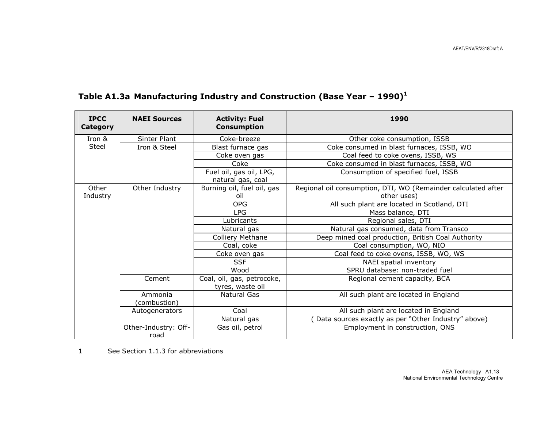| <b>IPCC</b><br><b>Category</b> | <b>NAEI Sources</b>          | <b>Activity: Fuel</b><br><b>Consumption</b>    | 1990                                                                         |
|--------------------------------|------------------------------|------------------------------------------------|------------------------------------------------------------------------------|
| Iron &                         | Sinter Plant                 | Coke-breeze                                    | Other coke consumption, ISSB                                                 |
| Steel                          | Iron & Steel                 | Blast furnace gas                              | Coke consumed in blast furnaces, ISSB, WO                                    |
|                                |                              | Coke oven gas                                  | Coal feed to coke ovens, ISSB, WS                                            |
|                                |                              | Coke                                           | Coke consumed in blast furnaces, ISSB, WO                                    |
|                                |                              | Fuel oil, gas oil, LPG,<br>natural gas, coal   | Consumption of specified fuel, ISSB                                          |
| Other<br>Industry              | Other Industry               | Burning oil, fuel oil, gas<br>oil              | Regional oil consumption, DTI, WO (Remainder calculated after<br>other uses) |
|                                |                              | <b>OPG</b>                                     | All such plant are located in Scotland, DTI                                  |
|                                |                              | <b>LPG</b>                                     | Mass balance, DTI                                                            |
|                                |                              | Lubricants                                     | Regional sales, DTI                                                          |
|                                |                              | Natural gas                                    | Natural gas consumed, data from Transco                                      |
|                                |                              | Colliery Methane                               | Deep mined coal production, British Coal Authority                           |
|                                |                              | Coal, coke                                     | Coal consumption, WO, NIO                                                    |
|                                |                              | Coke oven gas                                  | Coal feed to coke ovens, ISSB, WO, WS                                        |
|                                |                              | <b>SSF</b>                                     | NAEI spatial inventory                                                       |
|                                |                              | Wood                                           | SPRU database: non-traded fuel                                               |
|                                | Cement                       | Coal, oil, gas, petrocoke,<br>tyres, waste oil | Regional cement capacity, BCA                                                |
|                                | Ammonia<br>(combustion)      | Natural Gas                                    | All such plant are located in England                                        |
|                                | Autogenerators               | Coal                                           | All such plant are located in England                                        |
|                                |                              | Natural gas                                    | Data sources exactly as per "Other Industry" above)                          |
|                                | Other-Industry: Off-<br>road | Gas oil, petrol                                | Employment in construction, ONS                                              |

# Table A1.3a Manufacturing Industry and Construction (Base Year - 1990)<sup>1</sup>

1 See Section 1.1.3 for abbreviations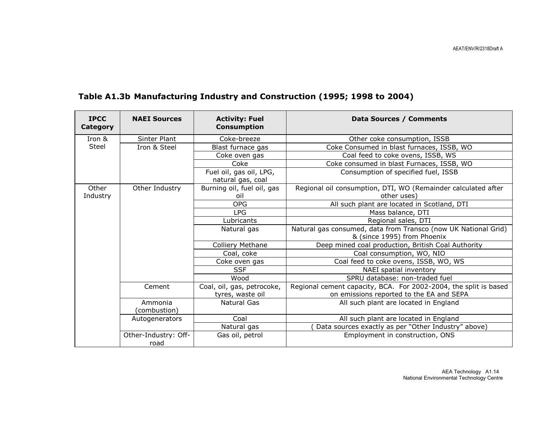| <b>IPCC</b><br><b>Category</b> | <b>NAEI Sources</b>          | <b>Activity: Fuel</b><br><b>Consumption</b>  | <b>Data Sources / Comments</b>                                   |
|--------------------------------|------------------------------|----------------------------------------------|------------------------------------------------------------------|
| Iron &                         | Sinter Plant                 | Coke-breeze                                  | Other coke consumption, ISSB                                     |
| Steel                          | Iron & Steel                 | Blast furnace gas                            | Coke Consumed in blast furnaces, ISSB, WO                        |
|                                |                              | Coke oven gas                                | Coal feed to coke ovens, ISSB, WS                                |
|                                |                              | Coke                                         | Coke consumed in blast Furnaces, ISSB, WO                        |
|                                |                              | Fuel oil, gas oil, LPG,<br>natural gas, coal | Consumption of specified fuel, ISSB                              |
| Other                          | Other Industry               | Burning oil, fuel oil, gas                   | Regional oil consumption, DTI, WO (Remainder calculated after    |
| Industry                       |                              | oil                                          | other uses)                                                      |
|                                |                              | <b>OPG</b>                                   | All such plant are located in Scotland, DTI                      |
|                                |                              | <b>LPG</b>                                   | Mass balance, DTI                                                |
|                                |                              | Lubricants                                   | Regional sales, DTI                                              |
|                                |                              | Natural gas                                  | Natural gas consumed, data from Transco (now UK National Grid)   |
|                                |                              |                                              | & (since 1995) from Phoenix                                      |
|                                |                              | Colliery Methane                             | Deep mined coal production, British Coal Authority               |
|                                |                              | Coal, coke                                   | Coal consumption, WO, NIO                                        |
|                                |                              | Coke oven gas                                | Coal feed to coke ovens, ISSB, WO, WS                            |
|                                |                              | <b>SSF</b>                                   | NAEI spatial inventory                                           |
|                                |                              | Wood                                         | SPRU database: non-traded fuel                                   |
|                                | Cement                       | Coal, oil, gas, petrocoke,                   | Regional cement capacity, BCA. For 2002-2004, the split is based |
|                                |                              | tyres, waste oil                             | on emissions reported to the EA and SEPA                         |
|                                | Ammonia                      | Natural Gas                                  | All such plant are located in England                            |
|                                | (combustion)                 |                                              |                                                                  |
|                                | Autogenerators               | Coal                                         | All such plant are located in England                            |
|                                |                              | Natural gas                                  | Data sources exactly as per "Other Industry" above)              |
|                                | Other-Industry: Off-<br>road | Gas oil, petrol                              | Employment in construction, ONS                                  |

# Table A1.3b Manufacturing Industry and Construction (1995; 1998 to 2004)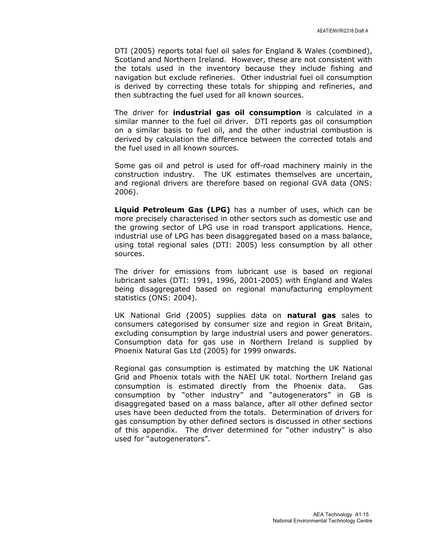DTI (2005) reports total fuel oil sales for England & Wales (combined), Scotland and Northern Ireland. However, these are not consistent with the totals used in the inventory because they include fishing and navigation but exclude refineries. Other industrial fuel oil consumption is derived by correcting these totals for shipping and refineries, and then subtracting the fuel used for all known sources.

The driver for **industrial gas oil consumption** is calculated in a similar manner to the fuel oil driver. DTI reports gas oil consumption on a similar basis to fuel oil, and the other industrial combustion is derived by calculation the difference between the corrected totals and the fuel used in all known sources.

Some gas oil and petrol is used for off-road machinery mainly in the construction industry. The UK estimates themselves are uncertain, and regional drivers are therefore based on regional GVA data (ONS: 2006).

Liquid Petroleum Gas (LPG) has a number of uses, which can be more precisely characterised in other sectors such as domestic use and the growing sector of LPG use in road transport applications. Hence, industrial use of LPG has been disaggregated based on a mass balance, using total regional sales (DTI: 2005) less consumption by all other sources.

The driver for emissions from lubricant use is based on regional lubricant sales (DTI: 1991, 1996, 2001-2005) with England and Wales being disaggregated based on regional manufacturing employment statistics (ONS: 2004).

UK National Grid (2005) supplies data on natural gas sales to consumers categorised by consumer size and region in Great Britain, excluding consumption by large industrial users and power generators. Consumption data for gas use in Northern Ireland is supplied by Phoenix Natural Gas Ltd (2005) for 1999 onwards.

Regional gas consumption is estimated by matching the UK National Grid and Phoenix totals with the NAEI UK total. Northern Ireland gas consumption is estimated directly from the Phoenix data. Gas consumption by "other industry" and "autogenerators" in GB is disaggregated based on a mass balance, after all other defined sector uses have been deducted from the totals. Determination of drivers for gas consumption by other defined sectors is discussed in other sections of this appendix. The driver determined for "other industry" is also used for "autogenerators".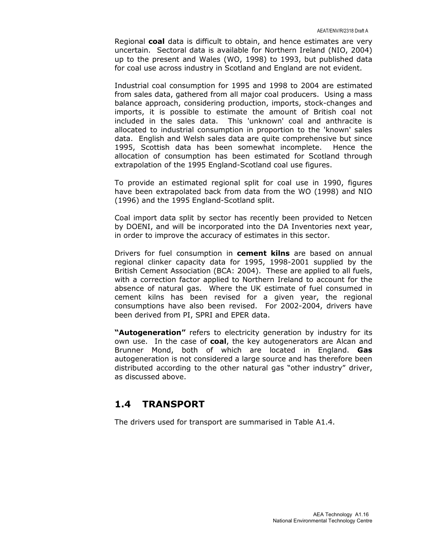Regional coal data is difficult to obtain, and hence estimates are very uncertain. Sectoral data is available for Northern Ireland (NIO, 2004) up to the present and Wales (WO, 1998) to 1993, but published data for coal use across industry in Scotland and England are not evident.

Industrial coal consumption for 1995 and 1998 to 2004 are estimated from sales data, gathered from all major coal producers. Using a mass balance approach, considering production, imports, stock-changes and imports, it is possible to estimate the amount of British coal not included in the sales data. This 'unknown' coal and anthracite is allocated to industrial consumption in proportion to the 'known' sales data. English and Welsh sales data are quite comprehensive but since 1995, Scottish data has been somewhat incomplete. Hence the allocation of consumption has been estimated for Scotland through extrapolation of the 1995 England-Scotland coal use figures.

To provide an estimated regional split for coal use in 1990, figures have been extrapolated back from data from the WO (1998) and NIO (1996) and the 1995 England-Scotland split.

Coal import data split by sector has recently been provided to Netcen by DOENI, and will be incorporated into the DA Inventories next year, in order to improve the accuracy of estimates in this sector.

Drivers for fuel consumption in cement kilns are based on annual regional clinker capacity data for 1995, 1998-2001 supplied by the British Cement Association (BCA: 2004). These are applied to all fuels, with a correction factor applied to Northern Ireland to account for the absence of natural gas. Where the UK estimate of fuel consumed in cement kilns has been revised for a given year, the regional consumptions have also been revised. For 2002-2004, drivers have been derived from PI, SPRI and EPER data.

"**Autogeneration"** refers to electricity generation by industry for its own use. In the case of coal, the key autogenerators are Alcan and Brunner Mond, both of which are located in England. Gas autogeneration is not considered a large source and has therefore been distributed according to the other natural gas "other industry" driver, as discussed above.

# 1.4 TRANSPORT

The drivers used for transport are summarised in Table A1.4.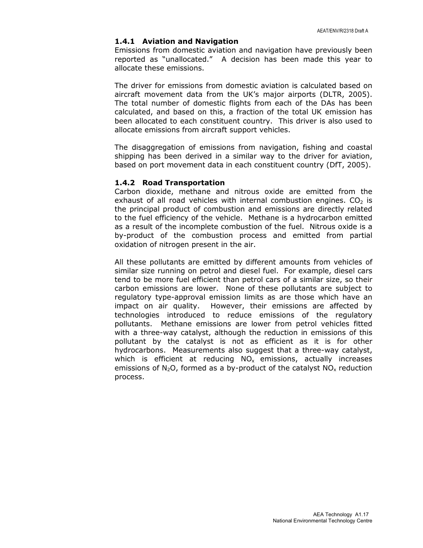#### 1.4.1 Aviation and Navigation

Emissions from domestic aviation and navigation have previously been reported as "unallocated." A decision has been made this year to allocate these emissions.

The driver for emissions from domestic aviation is calculated based on aircraft movement data from the UK's major airports (DLTR, 2005). The total number of domestic flights from each of the DAs has been calculated, and based on this, a fraction of the total UK emission has been allocated to each constituent country. This driver is also used to allocate emissions from aircraft support vehicles.

The disaggregation of emissions from navigation, fishing and coastal shipping has been derived in a similar way to the driver for aviation, based on port movement data in each constituent country (DfT, 2005).

#### 1.4.2 Road Transportation

Carbon dioxide, methane and nitrous oxide are emitted from the exhaust of all road vehicles with internal combustion engines.  $CO<sub>2</sub>$  is the principal product of combustion and emissions are directly related to the fuel efficiency of the vehicle. Methane is a hydrocarbon emitted as a result of the incomplete combustion of the fuel. Nitrous oxide is a by-product of the combustion process and emitted from partial oxidation of nitrogen present in the air.

All these pollutants are emitted by different amounts from vehicles of similar size running on petrol and diesel fuel. For example, diesel cars tend to be more fuel efficient than petrol cars of a similar size, so their carbon emissions are lower. None of these pollutants are subject to regulatory type-approval emission limits as are those which have an impact on air quality. However, their emissions are affected by technologies introduced to reduce emissions of the regulatory pollutants. Methane emissions are lower from petrol vehicles fitted with a three-way catalyst, although the reduction in emissions of this pollutant by the catalyst is not as efficient as it is for other hydrocarbons. Measurements also suggest that a three-way catalyst, which is efficient at reducing  $NO<sub>x</sub>$  emissions, actually increases emissions of  $N_2O$ , formed as a by-product of the catalyst  $NO<sub>x</sub>$  reduction process.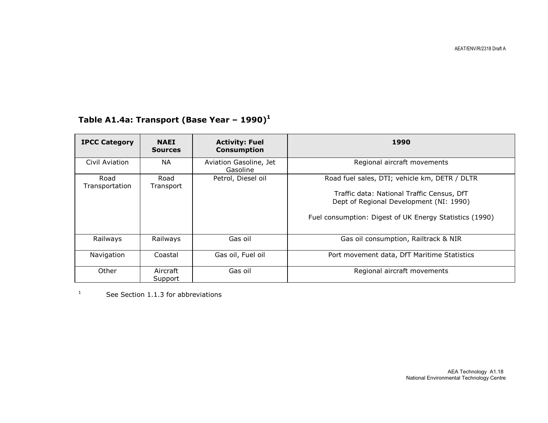| <b>IPCC Category</b>   | <b>NAEI</b><br><b>Sources</b> | <b>Activity: Fuel</b><br><b>Consumption</b> | 1990                                                    |
|------------------------|-------------------------------|---------------------------------------------|---------------------------------------------------------|
| Civil Aviation         | NA.                           | Aviation Gasoline, Jet<br>Gasoline          | Regional aircraft movements                             |
| Road<br>Transportation | Road<br>Transport             | Petrol, Diesel oil                          | Road fuel sales, DTI; vehicle km, DETR / DLTR           |
|                        |                               |                                             | Traffic data: National Traffic Census, DfT              |
|                        |                               |                                             | Dept of Regional Development (NI: 1990)                 |
|                        |                               |                                             | Fuel consumption: Digest of UK Energy Statistics (1990) |
| Railways               | Railways                      | Gas oil                                     | Gas oil consumption, Railtrack & NIR                    |
| Navigation             | Coastal                       | Gas oil, Fuel oil                           | Port movement data, DfT Maritime Statistics             |
| Other                  | Aircraft<br>Support           | Gas oil                                     | Regional aircraft movements                             |

# Table A1.4a: Transport (Base Year - 1990) $<sup>1</sup>$ </sup>

<sup>1</sup> See Section 1.1.3 for abbreviations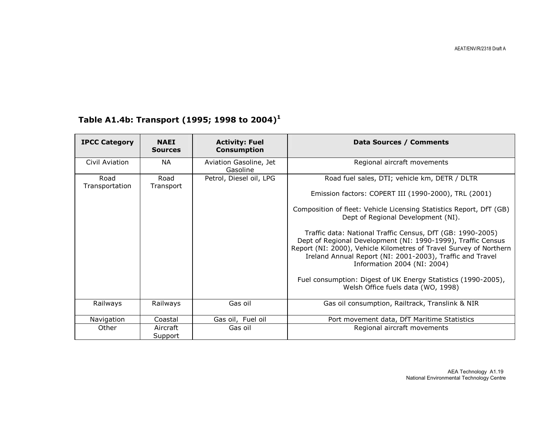# Table A1.4b: Transport (1995; 1998 to 2004)<sup>1</sup>

| <b>IPCC Category</b>   | <b>NAEI</b><br><b>Sources</b> | <b>Activity: Fuel</b><br><b>Consumption</b> | Data Sources / Comments                                                                                                                                                                                                                                                                      |
|------------------------|-------------------------------|---------------------------------------------|----------------------------------------------------------------------------------------------------------------------------------------------------------------------------------------------------------------------------------------------------------------------------------------------|
| Civil Aviation         | <b>NA</b>                     | Aviation Gasoline, Jet<br>Gasoline          | Regional aircraft movements                                                                                                                                                                                                                                                                  |
| Road<br>Transportation | Road<br>Transport             | Petrol, Diesel oil, LPG                     | Road fuel sales, DTI; vehicle km, DETR / DLTR                                                                                                                                                                                                                                                |
|                        |                               |                                             | Emission factors: COPERT III (1990-2000), TRL (2001)                                                                                                                                                                                                                                         |
|                        |                               |                                             | Composition of fleet: Vehicle Licensing Statistics Report, DfT (GB)<br>Dept of Regional Development (NI).                                                                                                                                                                                    |
|                        |                               |                                             | Traffic data: National Traffic Census, DfT (GB: 1990-2005)<br>Dept of Regional Development (NI: 1990-1999), Traffic Census<br>Report (NI: 2000), Vehicle Kilometres of Travel Survey of Northern<br>Ireland Annual Report (NI: 2001-2003), Traffic and Travel<br>Information 2004 (NI: 2004) |
|                        |                               |                                             | Fuel consumption: Digest of UK Energy Statistics (1990-2005),<br>Welsh Office fuels data (WO, 1998)                                                                                                                                                                                          |
| Railways               | Railways                      | Gas oil                                     | Gas oil consumption, Railtrack, Translink & NIR                                                                                                                                                                                                                                              |
| Navigation             | Coastal                       | Gas oil, Fuel oil                           | Port movement data, DfT Maritime Statistics                                                                                                                                                                                                                                                  |
| Other                  | Aircraft<br>Support           | Gas oil                                     | Regional aircraft movements                                                                                                                                                                                                                                                                  |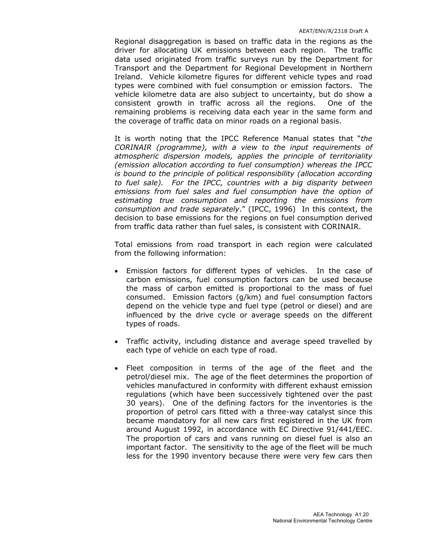Regional disaggregation is based on traffic data in the regions as the driver for allocating UK emissions between each region. The traffic data used originated from traffic surveys run by the Department for Transport and the Department for Regional Development in Northern Ireland. Vehicle kilometre figures for different vehicle types and road types were combined with fuel consumption or emission factors. The vehicle kilometre data are also subject to uncertainty, but do show a consistent growth in traffic across all the regions. One of the remaining problems is receiving data each year in the same form and the coverage of traffic data on minor roads on a regional basis.

It is worth noting that the IPCC Reference Manual states that "the CORINAIR (programme), with a view to the input requirements of atmospheric dispersion models, applies the principle of territoriality (emission allocation according to fuel consumption) whereas the IPCC is bound to the principle of political responsibility (allocation according to fuel sale). For the IPCC, countries with a big disparity between emissions from fuel sales and fuel consumption have the option of estimating true consumption and reporting the emissions from consumption and trade separately." (IPCC, 1996) In this context, the decision to base emissions for the regions on fuel consumption derived from traffic data rather than fuel sales, is consistent with CORINAIR.

Total emissions from road transport in each region were calculated from the following information:

- Emission factors for different types of vehicles. In the case of carbon emissions, fuel consumption factors can be used because the mass of carbon emitted is proportional to the mass of fuel consumed. Emission factors (g/km) and fuel consumption factors depend on the vehicle type and fuel type (petrol or diesel) and are influenced by the drive cycle or average speeds on the different types of roads.
- Traffic activity, including distance and average speed travelled by each type of vehicle on each type of road.
- Fleet composition in terms of the age of the fleet and the petrol/diesel mix. The age of the fleet determines the proportion of vehicles manufactured in conformity with different exhaust emission regulations (which have been successively tightened over the past 30 years). One of the defining factors for the inventories is the proportion of petrol cars fitted with a three-way catalyst since this became mandatory for all new cars first registered in the UK from around August 1992, in accordance with EC Directive 91/441/EEC. The proportion of cars and vans running on diesel fuel is also an important factor. The sensitivity to the age of the fleet will be much less for the 1990 inventory because there were very few cars then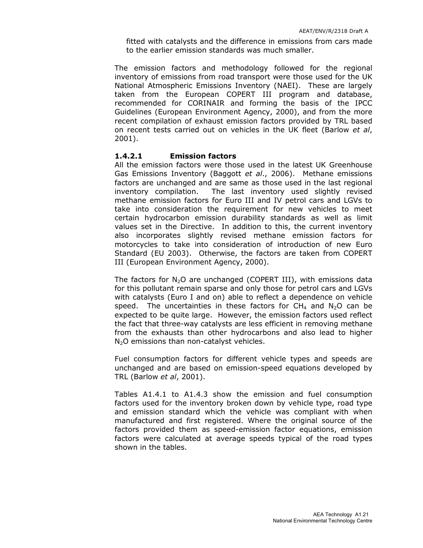fitted with catalysts and the difference in emissions from cars made to the earlier emission standards was much smaller.

The emission factors and methodology followed for the regional inventory of emissions from road transport were those used for the UK National Atmospheric Emissions Inventory (NAEI). These are largely taken from the European COPERT III program and database, recommended for CORINAIR and forming the basis of the IPCC Guidelines (European Environment Agency, 2000), and from the more recent compilation of exhaust emission factors provided by TRL based on recent tests carried out on vehicles in the UK fleet (Barlow et al, 2001).

#### 1.4.2.1 Emission factors

All the emission factors were those used in the latest UK Greenhouse Gas Emissions Inventory (Baggott et al., 2006). Methane emissions factors are unchanged and are same as those used in the last regional inventory compilation. The last inventory used slightly revised methane emission factors for Euro III and IV petrol cars and LGVs to take into consideration the requirement for new vehicles to meet certain hydrocarbon emission durability standards as well as limit values set in the Directive. In addition to this, the current inventory also incorporates slightly revised methane emission factors for motorcycles to take into consideration of introduction of new Euro Standard (EU 2003). Otherwise, the factors are taken from COPERT III (European Environment Agency, 2000).

The factors for  $N_2O$  are unchanged (COPERT III), with emissions data for this pollutant remain sparse and only those for petrol cars and LGVs with catalysts (Euro I and on) able to reflect a dependence on vehicle speed. The uncertainties in these factors for  $CH<sub>4</sub>$  and  $N<sub>2</sub>O$  can be expected to be quite large. However, the emission factors used reflect the fact that three-way catalysts are less efficient in removing methane from the exhausts than other hydrocarbons and also lead to higher N<sub>2</sub>O emissions than non-catalyst vehicles.

Fuel consumption factors for different vehicle types and speeds are unchanged and are based on emission-speed equations developed by TRL (Barlow et al, 2001).

Tables A1.4.1 to A1.4.3 show the emission and fuel consumption factors used for the inventory broken down by vehicle type, road type and emission standard which the vehicle was compliant with when manufactured and first registered. Where the original source of the factors provided them as speed-emission factor equations, emission factors were calculated at average speeds typical of the road types shown in the tables.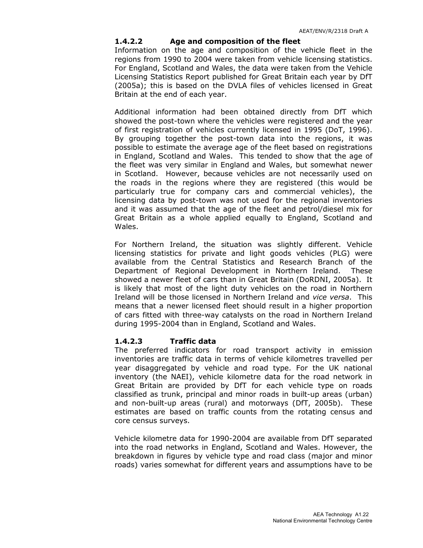#### 1.4.2.2 Age and composition of the fleet

Information on the age and composition of the vehicle fleet in the regions from 1990 to 2004 were taken from vehicle licensing statistics. For England, Scotland and Wales, the data were taken from the Vehicle Licensing Statistics Report published for Great Britain each year by DfT (2005a); this is based on the DVLA files of vehicles licensed in Great Britain at the end of each year.

Additional information had been obtained directly from DfT which showed the post-town where the vehicles were registered and the year of first registration of vehicles currently licensed in 1995 (DoT, 1996). By grouping together the post-town data into the regions, it was possible to estimate the average age of the fleet based on registrations in England, Scotland and Wales. This tended to show that the age of the fleet was very similar in England and Wales, but somewhat newer in Scotland. However, because vehicles are not necessarily used on the roads in the regions where they are registered (this would be particularly true for company cars and commercial vehicles), the licensing data by post-town was not used for the regional inventories and it was assumed that the age of the fleet and petrol/diesel mix for Great Britain as a whole applied equally to England, Scotland and Wales.

For Northern Ireland, the situation was slightly different. Vehicle licensing statistics for private and light goods vehicles (PLG) were available from the Central Statistics and Research Branch of the Department of Regional Development in Northern Ireland. These showed a newer fleet of cars than in Great Britain (DoRDNI, 2005a). It is likely that most of the light duty vehicles on the road in Northern Ireland will be those licensed in Northern Ireland and vice versa. This means that a newer licensed fleet should result in a higher proportion of cars fitted with three-way catalysts on the road in Northern Ireland during 1995-2004 than in England, Scotland and Wales.

#### 1.4.2.3 Traffic data

The preferred indicators for road transport activity in emission inventories are traffic data in terms of vehicle kilometres travelled per year disaggregated by vehicle and road type. For the UK national inventory (the NAEI), vehicle kilometre data for the road network in Great Britain are provided by DfT for each vehicle type on roads classified as trunk, principal and minor roads in built-up areas (urban) and non-built-up areas (rural) and motorways (DfT, 2005b). These estimates are based on traffic counts from the rotating census and core census surveys.

Vehicle kilometre data for 1990-2004 are available from DfT separated into the road networks in England, Scotland and Wales. However, the breakdown in figures by vehicle type and road class (major and minor roads) varies somewhat for different years and assumptions have to be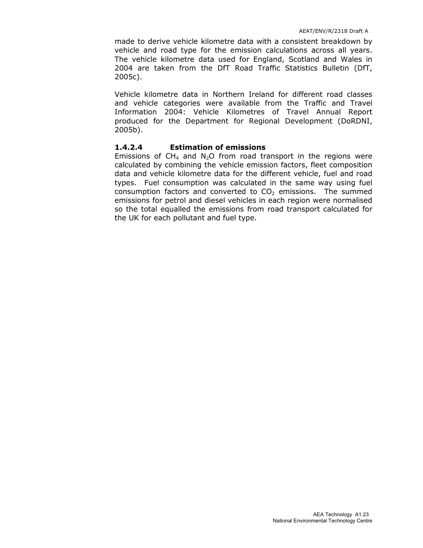made to derive vehicle kilometre data with a consistent breakdown by vehicle and road type for the emission calculations across all years. The vehicle kilometre data used for England, Scotland and Wales in 2004 are taken from the DfT Road Traffic Statistics Bulletin (DfT, 2005c).

Vehicle kilometre data in Northern Ireland for different road classes and vehicle categories were available from the Traffic and Travel Information 2004: Vehicle Kilometres of Travel Annual Report produced for the Department for Regional Development (DoRDNI, 2005b).

#### 1.4.2.4 Estimation of emissions

Emissions of CH<sub>4</sub> and N<sub>2</sub>O from road transport in the regions were calculated by combining the vehicle emission factors, fleet composition data and vehicle kilometre data for the different vehicle, fuel and road types. Fuel consumption was calculated in the same way using fuel consumption factors and converted to  $CO<sub>2</sub>$  emissions. The summed emissions for petrol and diesel vehicles in each region were normalised so the total equalled the emissions from road transport calculated for the UK for each pollutant and fuel type.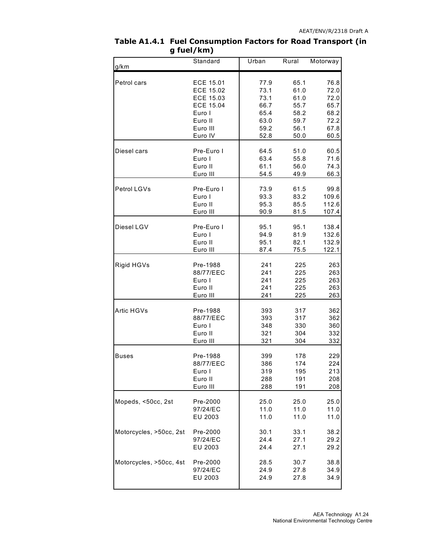| g/km                    | Standard         | Urban | Rural | Motorway |
|-------------------------|------------------|-------|-------|----------|
| Petrol cars             | ECE 15.01        | 77.9  | 65.1  | 76.8     |
|                         | <b>ECE 15.02</b> | 73.1  | 61.0  | 72.0     |
|                         | ECE 15.03        | 73.1  | 61.0  | 72.0     |
|                         | <b>ECE 15.04</b> | 66.7  | 55.7  | 65.7     |
|                         | Euro I           | 65.4  | 58.2  | 68.2     |
|                         | Euro II          | 63.0  | 59.7  | 72.2     |
|                         | Euro III         | 59.2  | 56.1  | 67.8     |
|                         | Euro IV          | 52.8  | 50.0  | 60.5     |
| Diesel cars             | Pre-Euro I       | 64.5  | 51.0  | 60.5     |
|                         | Euro I           | 63.4  | 55.8  | 71.6     |
|                         | Euro II          | 61.1  | 56.0  | 74.3     |
|                         | Euro III         | 54.5  | 49.9  | 66.3     |
| Petrol LGVs             | Pre-Euro I       | 73.9  | 61.5  | 99.8     |
|                         | Euro I           | 93.3  | 83.2  | 109.6    |
|                         | Euro II          | 95.3  | 85.5  | 112.6    |
|                         | Euro III         | 90.9  | 81.5  | 107.4    |
| Diesel LGV              | Pre-Euro I       | 95.1  | 95.1  | 138.4    |
|                         | Euro I           | 94.9  | 81.9  | 132.6    |
|                         | Euro II          | 95.1  | 82.1  | 132.9    |
|                         | Euro III         | 87.4  | 75.5  | 122.1    |
| Rigid HGVs              | Pre-1988         | 241   | 225   | 263      |
|                         | 88/77/EEC        | 241   | 225   | 263      |
|                         | Euro I           | 241   | 225   | 263      |
|                         | Euro II          | 241   | 225   | 263      |
|                         | Euro III         | 241   | 225   | 263      |
| Artic HGVs              | Pre-1988         | 393   | 317   | 362      |
|                         | 88/77/EEC        | 393   | 317   | 362      |
|                         | Euro I           | 348   | 330   | 360      |
|                         | Euro II          | 321   | 304   | 332      |
|                         | Euro III         | 321   | 304   | 332      |
| Buses                   | Pre-1988         | 399   | 178   | 229      |
|                         | 88/77/EEC        | 386   | 174   | 224      |
|                         | Euro I           | 319   | 195   | 213      |
|                         | Euro II          | 288   | 191   | 208      |
|                         | Euro III         | 288   | 191   | 208      |
| Mopeds, <50cc, 2st      | Pre-2000         | 25.0  | 25.0  | 25.0     |
|                         | 97/24/EC         | 11.0  | 11.0  | 11.0     |
|                         | EU 2003          | 11.0  | 11.0  | 11.0     |
| Motorcycles, >50cc, 2st | Pre-2000         | 30.1  | 33.1  | 38.2     |
|                         | 97/24/EC         | 24.4  | 27.1  | 29.2     |
|                         | EU 2003          | 24.4  | 27.1  | 29.2     |
| Motorcycles, >50cc, 4st | Pre-2000         | 28.5  | 30.7  | 38.8     |
|                         | 97/24/EC         | 24.9  | 27.8  | 34.9     |
|                         | EU 2003          | 24.9  | 27.8  | 34.9     |

#### Table A1.4.1 Fuel Consumption Factors for Road Transport (in g fuel/km)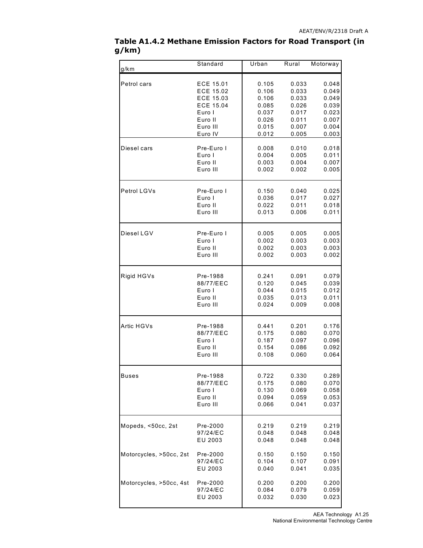| g/km                    | Standard         | Urban | Rural | Motorway |
|-------------------------|------------------|-------|-------|----------|
| Petrol cars             | ECE 15.01        | 0.105 | 0.033 | 0.048    |
|                         | ECE 15.02        | 0.106 | 0.033 | 0.049    |
|                         | ECE 15.03        | 0.106 | 0.033 | 0.049    |
|                         | <b>ECE 15.04</b> | 0.085 | 0.026 | 0.039    |
|                         | Euro I           | 0.037 | 0.017 | 0.023    |
|                         | Euro II          | 0.026 | 0.011 | 0.007    |
|                         | Euro III         | 0.015 | 0.007 | 0.004    |
|                         | Euro IV          | 0.012 | 0.005 | 0.003    |
| Diesel cars             | Pre-Euro I       | 0.008 | 0.010 | 0.018    |
|                         | Euro I           | 0.004 | 0.005 | 0.011    |
|                         | Euro II          | 0.003 | 0.004 | 0.007    |
|                         | Euro III         | 0.002 | 0.002 | 0.005    |
| Petrol LGVs             | Pre-Euro I       | 0.150 | 0.040 | 0.025    |
|                         | Euro I           | 0.036 | 0.017 | 0.027    |
|                         | Euro II          | 0.022 | 0.011 | 0.018    |
|                         | Euro III         | 0.013 | 0.006 | 0.011    |
| Diesel LGV              | Pre-Euro I       | 0.005 | 0.005 | 0.005    |
|                         | Euro I           | 0.002 | 0.003 | 0.003    |
|                         | Euro II          | 0.002 | 0.003 | 0.003    |
|                         | Euro III         | 0.002 | 0.003 | 0.002    |
| Rigid HGVs              | Pre-1988         | 0.241 | 0.091 | 0.079    |
|                         | 88/77/EEC        | 0.120 | 0.045 | 0.039    |
|                         | Euro I           | 0.044 | 0.015 | 0.012    |
|                         | Euro II          | 0.035 | 0.013 | 0.011    |
|                         | Euro III         | 0.024 | 0.009 | 0.008    |
| Artic HGVs              | Pre-1988         | 0.441 | 0.201 | 0.176    |
|                         | 88/77/EEC        | 0.175 | 0.080 | 0.070    |
|                         | Euro I           | 0.187 | 0.097 | 0.096    |
|                         | Euro II          | 0.154 | 0.086 | 0.092    |
|                         | Euro III         | 0.108 | 0.060 | 0.064    |
| Buses                   | Pre-1988         | 0.722 | 0.330 | 0.289    |
|                         | 88/77/EEC        | 0.175 | 0.080 | 0.070    |
|                         | Euro I           | 0.130 | 0.069 | 0.058    |
|                         | Euro II          | 0.094 | 0.059 | 0.053    |
|                         | Euro III         | 0.066 | 0.041 | 0.037    |
| Mopeds, <50cc, 2st      | Pre-2000         | 0.219 | 0.219 | 0.219    |
|                         | 97/24/EC         | 0.048 | 0.048 | 0.048    |
|                         | EU 2003          | 0.048 | 0.048 | 0.048    |
| Motorcycles, >50cc, 2st | Pre-2000         | 0.150 | 0.150 | 0.150    |
|                         | 97/24/EC         | 0.104 | 0.107 | 0.091    |
|                         | EU 2003          | 0.040 | 0.041 | 0.035    |
| Motorcycles, >50cc, 4st | Pre-2000         | 0.200 | 0.200 | 0.200    |
|                         | 97/24/EC         | 0.084 | 0.079 | 0.059    |
|                         | EU 2003          | 0.032 | 0.030 | 0.023    |

#### Table A1.4.2 Methane Emission Factors for Road Transport (in g/km)

 AEA Technology A1.25 National Environmental Technology Centre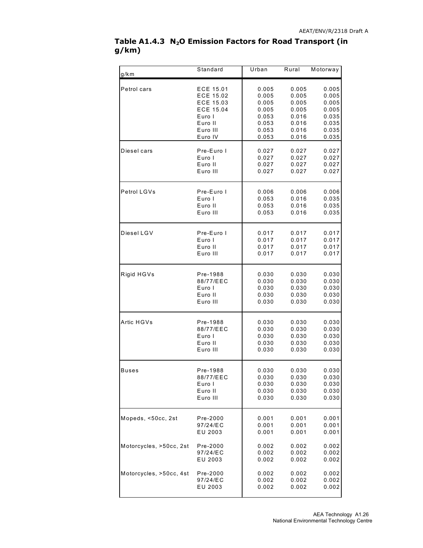|       | Table A1.4.3 $N_2O$ Emission Factors for Road Transport (in |  |  |
|-------|-------------------------------------------------------------|--|--|
| g/km) |                                                             |  |  |

| g/km                    | Standard         | Urban | Rural | Motorway |
|-------------------------|------------------|-------|-------|----------|
| Petrol cars             | ECE 15.01        | 0.005 | 0.005 | 0.005    |
|                         | ECE 15.02        | 0.005 | 0.005 | 0.005    |
|                         | ECE 15.03        | 0.005 | 0.005 | 0.005    |
|                         | <b>ECE 15.04</b> | 0.005 | 0.005 | 0.005    |
|                         | Euro I           | 0.053 | 0.016 | 0.035    |
|                         | Euro II          | 0.053 | 0.016 | 0.035    |
|                         | Euro III         | 0.053 | 0.016 | 0.035    |
|                         | Euro IV          | 0.053 | 0.016 | 0.035    |
| Diesel cars             | Pre-Euro I       | 0.027 | 0.027 | 0.027    |
|                         | Euro I           | 0.027 | 0.027 | 0.027    |
|                         | Euro II          | 0.027 | 0.027 | 0.027    |
|                         | Euro III         | 0.027 | 0.027 | 0.027    |
| Petrol LGVs             | Pre-Euro I       | 0.006 | 0.006 | 0.006    |
|                         | Euro I           | 0.053 | 0.016 | 0.035    |
|                         | Euro II          | 0.053 | 0.016 | 0.035    |
|                         | Euro III         | 0.053 | 0.016 | 0.035    |
| Diesel LGV              | Pre-Euro I       | 0.017 | 0.017 | 0.017    |
|                         | Euro I           | 0.017 | 0.017 | 0.017    |
|                         | Euro II          | 0.017 | 0.017 | 0.017    |
|                         | Euro III         | 0.017 | 0.017 | 0.017    |
| Rigid HGVs              | Pre-1988         | 0.030 | 0.030 | 0.030    |
|                         | 88/77/EEC        | 0.030 | 0.030 | 0.030    |
|                         | Euro I           | 0.030 | 0.030 | 0.030    |
|                         | Euro II          | 0.030 | 0.030 | 0.030    |
|                         | Euro III         | 0.030 | 0.030 | 0.030    |
| Artic HGVs              | Pre-1988         | 0.030 | 0.030 | 0.030    |
|                         | 88/77/EEC        | 0.030 | 0.030 | 0.030    |
|                         | Euro I           | 0.030 | 0.030 | 0.030    |
|                         | Euro II          | 0.030 | 0.030 | 0.030    |
|                         | Euro III         | 0.030 | 0.030 | 0.030    |
| Buses                   | Pre-1988         | 0.030 | 0.030 | 0.030    |
|                         | 88/77/EEC        | 0.030 | 0.030 | 0.030    |
|                         | Euro I           | 0.030 | 0.030 | 0.030    |
|                         | Euro II          | 0.030 | 0.030 | 0.030    |
|                         | Euro III         | 0.030 | 0.030 | 0.030    |
| Mopeds, <50cc, 2st      | Pre-2000         | 0.001 | 0.001 | 0.001    |
|                         | 97/24/EC         | 0.001 | 0.001 | 0.001    |
|                         | EU 2003          | 0.001 | 0.001 | 0.001    |
| Motorcycles, >50cc, 2st | Pre-2000         | 0.002 | 0.002 | 0.002    |
|                         | 97/24/EC         | 0.002 | 0.002 | 0.002    |
|                         | EU 2003          | 0.002 | 0.002 | 0.002    |
| Motorcycles, >50cc, 4st | Pre-2000         | 0.002 | 0.002 | 0.002    |
|                         | 97/24/EC         | 0.002 | 0.002 | 0.002    |
|                         | EU 2003          | 0.002 | 0.002 | 0.002    |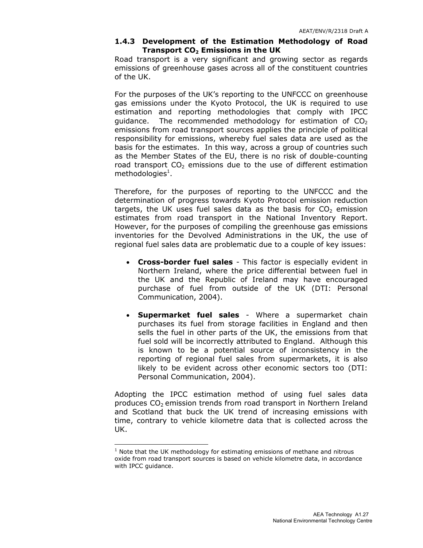#### 1.4.3 Development of the Estimation Methodology of Road Transport  $CO<sub>2</sub>$  Emissions in the UK

Road transport is a very significant and growing sector as regards emissions of greenhouse gases across all of the constituent countries of the UK.

For the purposes of the UK's reporting to the UNFCCC on greenhouse gas emissions under the Kyoto Protocol, the UK is required to use estimation and reporting methodologies that comply with IPCC guidance. The recommended methodology for estimation of  $CO<sub>2</sub>$ emissions from road transport sources applies the principle of political responsibility for emissions, whereby fuel sales data are used as the basis for the estimates. In this way, across a group of countries such as the Member States of the EU, there is no risk of double-counting road transport  $CO<sub>2</sub>$  emissions due to the use of different estimation methodologies $^1$ .

Therefore, for the purposes of reporting to the UNFCCC and the determination of progress towards Kyoto Protocol emission reduction targets, the UK uses fuel sales data as the basis for  $CO<sub>2</sub>$  emission estimates from road transport in the National Inventory Report. However, for the purposes of compiling the greenhouse gas emissions inventories for the Devolved Administrations in the UK, the use of regional fuel sales data are problematic due to a couple of key issues:

- Cross-border fuel sales This factor is especially evident in Northern Ireland, where the price differential between fuel in the UK and the Republic of Ireland may have encouraged purchase of fuel from outside of the UK (DTI: Personal Communication, 2004).
- Supermarket fuel sales Where a supermarket chain purchases its fuel from storage facilities in England and then sells the fuel in other parts of the UK, the emissions from that fuel sold will be incorrectly attributed to England. Although this is known to be a potential source of inconsistency in the reporting of regional fuel sales from supermarkets, it is also likely to be evident across other economic sectors too (DTI: Personal Communication, 2004).

Adopting the IPCC estimation method of using fuel sales data produces  $CO<sub>2</sub>$  emission trends from road transport in Northern Ireland and Scotland that buck the UK trend of increasing emissions with time, contrary to vehicle kilometre data that is collected across the UK.

 $\overline{a}$ 

 $<sup>1</sup>$  Note that the UK methodology for estimating emissions of methane and nitrous</sup> oxide from road transport sources is based on vehicle kilometre data, in accordance with IPCC guidance.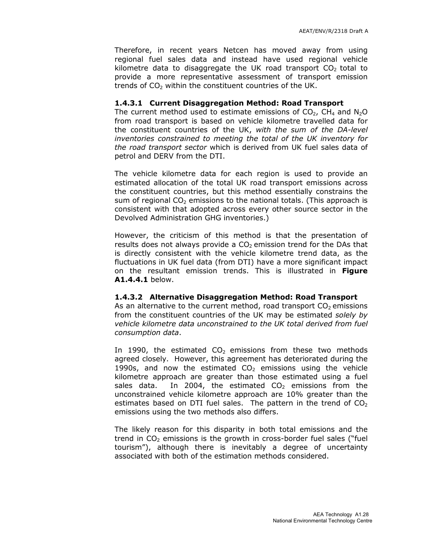Therefore, in recent years Netcen has moved away from using regional fuel sales data and instead have used regional vehicle kilometre data to disaggregate the UK road transport  $CO<sub>2</sub>$  total to provide a more representative assessment of transport emission trends of  $CO<sub>2</sub>$  within the constituent countries of the UK.

#### 1.4.3.1 Current Disaggregation Method: Road Transport

The current method used to estimate emissions of  $CO<sub>2</sub>$ , CH<sub>4</sub> and N<sub>2</sub>O from road transport is based on vehicle kilometre travelled data for the constituent countries of the UK, with the sum of the DA-level inventories constrained to meeting the total of the UK inventory for the road transport sector which is derived from UK fuel sales data of petrol and DERV from the DTI.

The vehicle kilometre data for each region is used to provide an estimated allocation of the total UK road transport emissions across the constituent countries, but this method essentially constrains the sum of regional  $CO<sub>2</sub>$  emissions to the national totals. (This approach is consistent with that adopted across every other source sector in the Devolved Administration GHG inventories.)

However, the criticism of this method is that the presentation of results does not always provide a  $CO<sub>2</sub>$  emission trend for the DAs that is directly consistent with the vehicle kilometre trend data, as the fluctuations in UK fuel data (from DTI) have a more significant impact on the resultant emission trends. This is illustrated in Figure A1.4.4.1 below.

#### 1.4.3.2 Alternative Disaggregation Method: Road Transport

As an alternative to the current method, road transport  $CO<sub>2</sub>$  emissions from the constituent countries of the UK may be estimated solely by vehicle kilometre data unconstrained to the UK total derived from fuel consumption data.

In 1990, the estimated  $CO<sub>2</sub>$  emissions from these two methods agreed closely. However, this agreement has deteriorated during the 1990s, and now the estimated  $CO<sub>2</sub>$  emissions using the vehicle kilometre approach are greater than those estimated using a fuel sales data. In 2004, the estimated  $CO<sub>2</sub>$  emissions from the unconstrained vehicle kilometre approach are 10% greater than the estimates based on DTI fuel sales. The pattern in the trend of  $CO<sub>2</sub>$ emissions using the two methods also differs.

The likely reason for this disparity in both total emissions and the trend in  $CO<sub>2</sub>$  emissions is the growth in cross-border fuel sales ("fuel tourism"), although there is inevitably a degree of uncertainty associated with both of the estimation methods considered.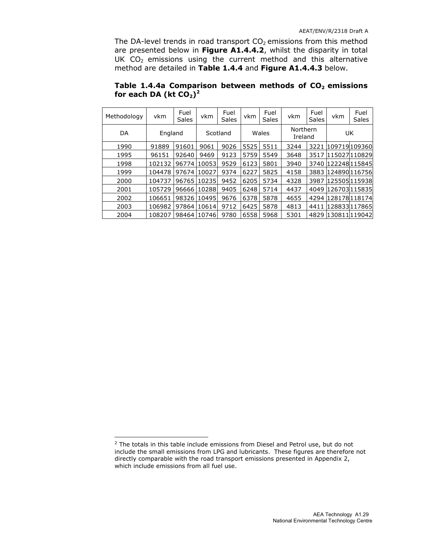The DA-level trends in road transport  $CO<sub>2</sub>$  emissions from this method are presented below in Figure A1.4.4.2, whilst the disparity in total UK  $CO<sub>2</sub>$  emissions using the current method and this alternative method are detailed in Table 1.4.4 and Figure A1.4.4.3 below.

| Table 1.4.4a Comparison between methods of $CO2$ emissions |  |  |  |
|------------------------------------------------------------|--|--|--|
| for each DA (kt $CO2$ ) <sup>2</sup>                       |  |  |  |
|                                                            |  |  |  |

| Methodology | vkm     | Fuel<br>Sales | vkm   | Fuel<br>Sales | vkm  | Fuel<br><b>Sales</b> | vkm                 | Fuel<br>Sales | vkm                | Fuel<br>Sales |
|-------------|---------|---------------|-------|---------------|------|----------------------|---------------------|---------------|--------------------|---------------|
| DA          | England |               |       | Scotland      |      | Wales                | Northern<br>Ireland |               |                    | UK            |
| 1990        | 91889   | 91601         | 9061  | 9026          | 5525 | 5511                 | 3244                | 3221          | 109719109360       |               |
| 1995        | 96151   | 92640         | 9469  | 9123          | 5759 | 5549                 | 3648                | 3517          | 115027110829       |               |
| 1998        | 102132  | 96774         | 10053 | 9529          | 6123 | 5801                 | 3940                |               | 3740 122248 115845 |               |
| 1999        | 104478  | 97674         | 10027 | 9374          | 6227 | 5825                 | 4158                |               | 3883 124890 116756 |               |
| 2000        | 104737  | 96765         | 10235 | 9452          | 6205 | 5734                 | 4328                | 3987          | 125505115938       |               |
| 2001        | 105729  | 96666         | 10288 | 9405          | 6248 | 5714                 | 4437                |               | 4049 126703 115835 |               |
| 2002        | 106651  | 98326         | 10495 | 9676          | 6378 | 5878                 | 4655                |               | 4294 128178 118174 |               |
| 2003        | 106982  | 97864         | 10614 | 9712          | 6425 | 5878                 | 4813                | 4411          | 128833117865       |               |
| 2004        | 108207  | 98464         | 10746 | 9780          | 6558 | 5968                 | 5301                |               | 4829 130811 119042 |               |

 $\overline{a}$ 

<sup>&</sup>lt;sup>2</sup> The totals in this table include emissions from Diesel and Petrol use, but do not include the small emissions from LPG and lubricants. These figures are therefore not directly comparable with the road transport emissions presented in Appendix 2, which include emissions from all fuel use.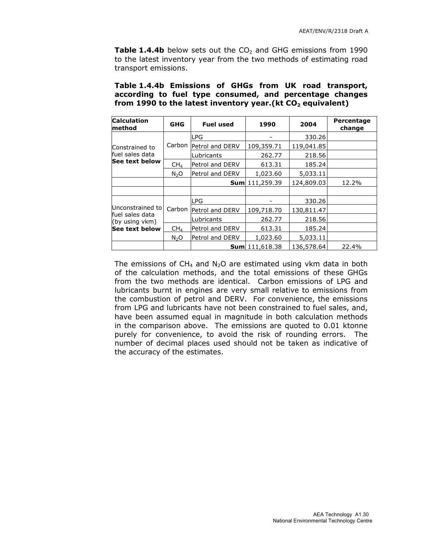Table 1.4.4b below sets out the  $CO<sub>2</sub>$  and GHG emissions from 1990 to the latest inventory year from the two methods of estimating road transport emissions.

| from 1990 to the latest inventory year. (kt $CO2$ equivalent) |            |                          |            |            |                      |  |
|---------------------------------------------------------------|------------|--------------------------|------------|------------|----------------------|--|
| <b>Calculation</b><br>method                                  | <b>GHG</b> | <b>Fuel used</b>         | 1990       | 2004       | Percentage<br>change |  |
|                                                               |            | <b>LPG</b>               |            | 330.26     |                      |  |
| Constrained to<br>fuel sales data                             |            | Carbon   Petrol and DERV | 109,359.71 | 119,041.85 |                      |  |
|                                                               |            | Lubricants               | 262.77     | 218.56     |                      |  |

 $CH<sub>4</sub>$  Petrol and DERV 613.31 185.24

 $N_2$ O | Petrol and DERV | 1,023.60 | 5,033.11

Carbon Petrol and DERV 109,718.70 130,811.47

 $CH<sub>4</sub>$  Petrol and DERV 613.31 185.24

 $N_2O$  Petrol and DERV | 1,023.60 | 5,033.11

LPG 230.26

Lubricants | 262.77 | 218.56

**Sum** 111,259.39 124,809.03 12.2%

**Sum** 111,618.38  $|136,578.64$  22.4%

See text below

Unconstrained to fuel sales data (by using vkm) See text below

| Table 1.4.4b Emissions of GHGs from UK road transport,        |  |  |  |
|---------------------------------------------------------------|--|--|--|
| according to fuel type consumed, and percentage changes       |  |  |  |
| from 1990 to the latest inventory year. (kt $CO2$ equivalent) |  |  |  |

| The emissions of $CH_4$ and N <sub>2</sub> O are estimated using vkm data in both |
|-----------------------------------------------------------------------------------|
| of the calculation methods, and the total emissions of these GHGs                 |
| from the two methods are identical. Carbon emissions of LPG and                   |
| lubricants burnt in engines are very small relative to emissions from             |
| the combustion of petrol and DERV. For convenience, the emissions                 |
| from LPG and lubricants have not been constrained to fuel sales, and,             |
| have been assumed equal in magnitude in both calculation methods                  |
| in the comparison above. The emissions are quoted to 0.01 ktonne                  |
| purely for convenience, to avoid the risk of rounding errors. The                 |
| number of decimal places used should not be taken as indicative of                |
| the accuracy of the estimates.                                                    |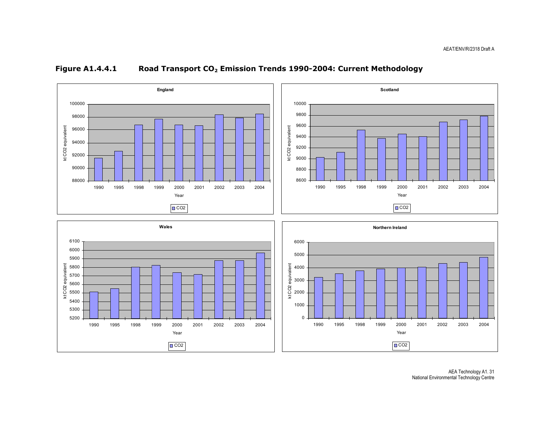

#### Figure A1.4.4.1 Road Transport CO<sub>2</sub> Emission Trends 1990-2004: Current Methodology

AEA Technology A1. 31 National Environmental Technology Centre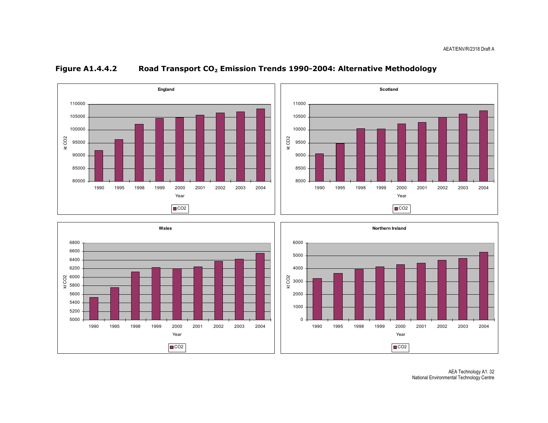

#### Figure A1.4.4.2 Road Transport CO<sub>2</sub> Emission Trends 1990-2004: Alternative Methodology





AEA Technology A1. 32 National Environmental Technology Centre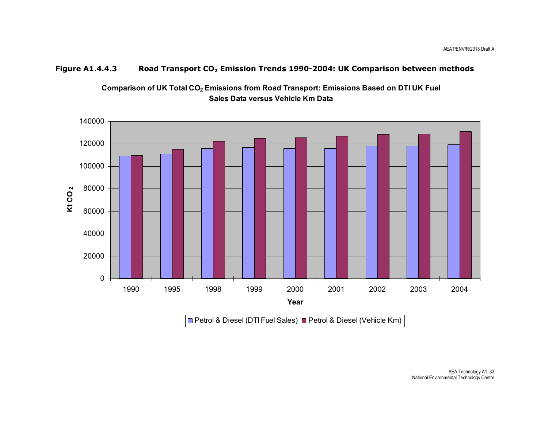#### Figure A1.4.4.3 Road Transport CO<sub>2</sub> Emission Trends 1990-2004: UK Comparison between methods



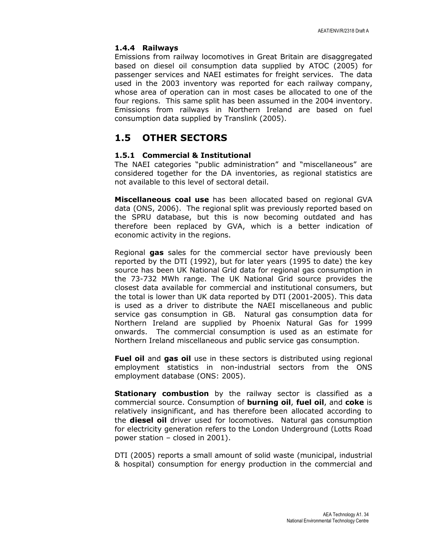#### 1.4.4 Railways

Emissions from railway locomotives in Great Britain are disaggregated based on diesel oil consumption data supplied by ATOC (2005) for passenger services and NAEI estimates for freight services. The data used in the 2003 inventory was reported for each railway company, whose area of operation can in most cases be allocated to one of the four regions. This same split has been assumed in the 2004 inventory. Emissions from railways in Northern Ireland are based on fuel consumption data supplied by Translink (2005).

## 1.5 OTHER SECTORS

#### 1.5.1 Commercial & Institutional

The NAEI categories "public administration" and "miscellaneous" are considered together for the DA inventories, as regional statistics are not available to this level of sectoral detail.

Miscellaneous coal use has been allocated based on regional GVA data (ONS, 2006). The regional split was previously reported based on the SPRU database, but this is now becoming outdated and has therefore been replaced by GVA, which is a better indication of economic activity in the regions.

Regional gas sales for the commercial sector have previously been reported by the DTI (1992), but for later years (1995 to date) the key source has been UK National Grid data for regional gas consumption in the 73-732 MWh range. The UK National Grid source provides the closest data available for commercial and institutional consumers, but the total is lower than UK data reported by DTI (2001-2005). This data is used as a driver to distribute the NAEI miscellaneous and public service gas consumption in GB. Natural gas consumption data for Northern Ireland are supplied by Phoenix Natural Gas for 1999 onwards. The commercial consumption is used as an estimate for Northern Ireland miscellaneous and public service gas consumption.

Fuel oil and gas oil use in these sectors is distributed using regional employment statistics in non-industrial sectors from the ONS employment database (ONS: 2005).

Stationary combustion by the railway sector is classified as a commercial source. Consumption of **burning oil, fuel oil,** and **coke** is relatively insignificant, and has therefore been allocated according to the **diesel oil** driver used for locomotives. Natural gas consumption for electricity generation refers to the London Underground (Lotts Road power station – closed in 2001).

DTI (2005) reports a small amount of solid waste (municipal, industrial & hospital) consumption for energy production in the commercial and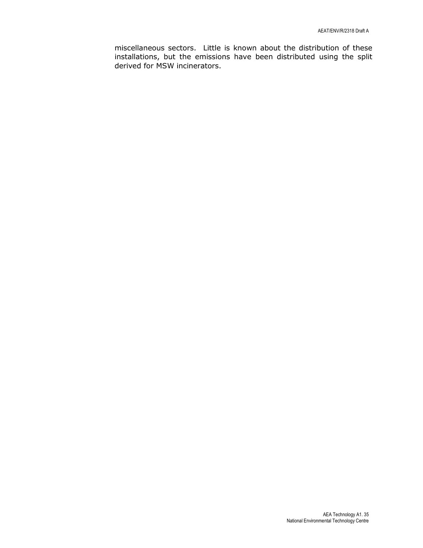miscellaneous sectors. Little is known about the distribution of these installations, but the emissions have been distributed using the split derived for MSW incinerators.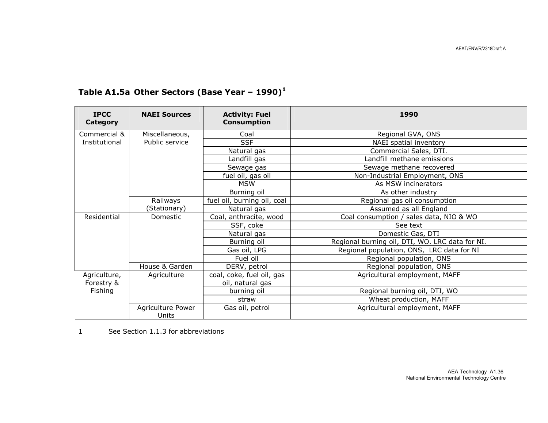| <b>IPCC</b><br><b>Category</b> | <b>NAEI Sources</b>        | <b>Activity: Fuel</b><br><b>Consumption</b> | 1990                                            |
|--------------------------------|----------------------------|---------------------------------------------|-------------------------------------------------|
| Commercial &                   | Miscellaneous,             | Coal                                        | Regional GVA, ONS                               |
| Institutional                  | Public service             | <b>SSF</b>                                  | NAEI spatial inventory                          |
|                                |                            | Natural gas                                 | Commercial Sales, DTI.                          |
|                                |                            | Landfill gas                                | Landfill methane emissions                      |
|                                |                            | Sewage gas                                  | Sewage methane recovered                        |
|                                |                            | fuel oil, gas oil                           | Non-Industrial Employment, ONS                  |
|                                |                            | <b>MSW</b>                                  | As MSW incinerators                             |
|                                |                            | Burning oil                                 | As other industry                               |
|                                | Railways                   | fuel oil, burning oil, coal                 | Regional gas oil consumption                    |
|                                | (Stationary)               | Natural gas                                 | Assumed as all England                          |
| Residential                    | Domestic                   | Coal, anthracite, wood                      | Coal consumption / sales data, NIO & WO         |
|                                |                            | SSF, coke                                   | See text                                        |
|                                |                            | Natural gas                                 | Domestic Gas, DTI                               |
|                                |                            | Burning oil                                 | Regional burning oil, DTI, WO. LRC data for NI. |
|                                |                            | Gas oil, LPG                                | Regional population, ONS, LRC data for NI       |
|                                |                            | Fuel oil                                    | Regional population, ONS                        |
|                                | House & Garden             | DERV, petrol                                | Regional population, ONS                        |
| Agriculture,                   | Agriculture                | coal, coke, fuel oil, gas                   | Agricultural employment, MAFF                   |
| Forestry &                     |                            | oil, natural gas                            |                                                 |
| Fishing                        |                            | burning oil                                 | Regional burning oil, DTI, WO                   |
|                                |                            | straw                                       | Wheat production, MAFF                          |
|                                | Agriculture Power<br>Units | Gas oil, petrol                             | Agricultural employment, MAFF                   |

# Table A1.5a Other Sectors (Base Year -  $1990)^1$

1 See Section 1.1.3 for abbreviations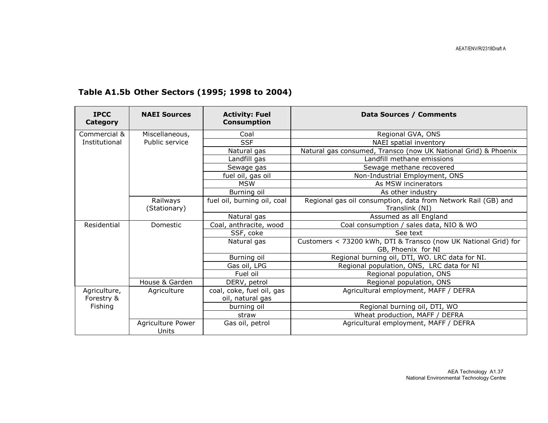| <b>IPCC</b><br>Category | <b>NAEI Sources</b>        | <b>Activity: Fuel</b><br><b>Consumption</b> | Data Sources / Comments                                                               |
|-------------------------|----------------------------|---------------------------------------------|---------------------------------------------------------------------------------------|
| Commercial &            | Miscellaneous,             | Coal                                        | Regional GVA, ONS                                                                     |
| Institutional           | Public service             | <b>SSF</b>                                  | NAEI spatial inventory                                                                |
|                         |                            | Natural gas                                 | Natural gas consumed, Transco (now UK National Grid) & Phoenix                        |
|                         |                            | Landfill gas                                | Landfill methane emissions                                                            |
|                         |                            | Sewage gas                                  | Sewage methane recovered                                                              |
|                         |                            | fuel oil, gas oil                           | Non-Industrial Employment, ONS                                                        |
|                         |                            | <b>MSW</b>                                  | As MSW incinerators                                                                   |
|                         |                            | Burning oil                                 | As other industry                                                                     |
|                         | Railways                   | fuel oil, burning oil, coal                 | Regional gas oil consumption, data from Network Rail (GB) and                         |
|                         | (Stationary)               |                                             | Translink (NI)                                                                        |
|                         |                            | Natural gas                                 | Assumed as all England                                                                |
| Residential             | Domestic                   | Coal, anthracite, wood                      | Coal consumption / sales data, NIO & WO                                               |
|                         |                            | SSF, coke                                   | See text                                                                              |
|                         |                            | Natural gas                                 | Customers < 73200 kWh, DTI & Transco (now UK National Grid) for<br>GB, Phoenix for NI |
|                         |                            | Burning oil                                 | Regional burning oil, DTI, WO. LRC data for NI.                                       |
|                         |                            | Gas oil, LPG                                | Regional population, ONS, LRC data for NI                                             |
|                         |                            | Fuel oil                                    | Regional population, ONS                                                              |
|                         | House & Garden             | DERV, petrol                                | Regional population, ONS                                                              |
| Agriculture,            | Agriculture                | coal, coke, fuel oil, gas                   | Agricultural employment, MAFF / DEFRA                                                 |
| Forestry &              |                            | oil, natural gas                            |                                                                                       |
| Fishing                 |                            | burning oil                                 | Regional burning oil, DTI, WO                                                         |
|                         |                            | straw                                       | Wheat production, MAFF / DEFRA                                                        |
|                         | Agriculture Power<br>Units | Gas oil, petrol                             | Agricultural employment, MAFF / DEFRA                                                 |

# Table A1.5b Other Sectors (1995; 1998 to 2004)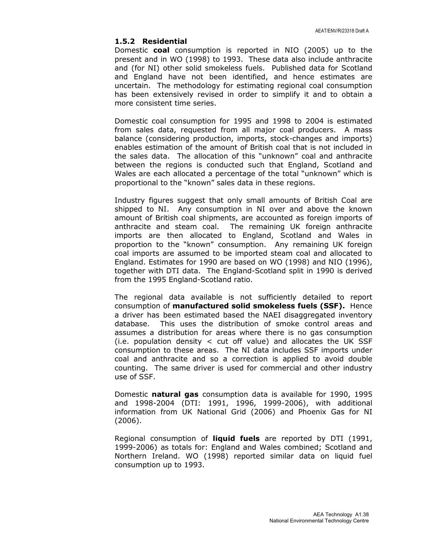#### 1.5.2 Residential

Domestic coal consumption is reported in NIO (2005) up to the present and in WO (1998) to 1993. These data also include anthracite and (for NI) other solid smokeless fuels. Published data for Scotland and England have not been identified, and hence estimates are uncertain. The methodology for estimating regional coal consumption has been extensively revised in order to simplify it and to obtain a more consistent time series.

Domestic coal consumption for 1995 and 1998 to 2004 is estimated from sales data, requested from all major coal producers. A mass balance (considering production, imports, stock-changes and imports) enables estimation of the amount of British coal that is not included in the sales data. The allocation of this "unknown" coal and anthracite between the regions is conducted such that England, Scotland and Wales are each allocated a percentage of the total "unknown" which is proportional to the "known" sales data in these regions.

Industry figures suggest that only small amounts of British Coal are shipped to NI. Any consumption in NI over and above the known amount of British coal shipments, are accounted as foreign imports of anthracite and steam coal. The remaining UK foreign anthracite imports are then allocated to England, Scotland and Wales in proportion to the "known" consumption. Any remaining UK foreign coal imports are assumed to be imported steam coal and allocated to England. Estimates for 1990 are based on WO (1998) and NIO (1996), together with DTI data. The England-Scotland split in 1990 is derived from the 1995 England-Scotland ratio.

The regional data available is not sufficiently detailed to report consumption of manufactured solid smokeless fuels (SSF). Hence a driver has been estimated based the NAEI disaggregated inventory database. This uses the distribution of smoke control areas and assumes a distribution for areas where there is no gas consumption (i.e. population density  $\lt$  cut off value) and allocates the UK SSF consumption to these areas. The NI data includes SSF imports under coal and anthracite and so a correction is applied to avoid double counting. The same driver is used for commercial and other industry use of SSF.

Domestic natural gas consumption data is available for 1990, 1995 and 1998-2004 (DTI: 1991, 1996, 1999-2006), with additional information from UK National Grid (2006) and Phoenix Gas for NI (2006).

Regional consumption of liquid fuels are reported by DTI (1991, 1999-2006) as totals for: England and Wales combined; Scotland and Northern Ireland. WO (1998) reported similar data on liquid fuel consumption up to 1993.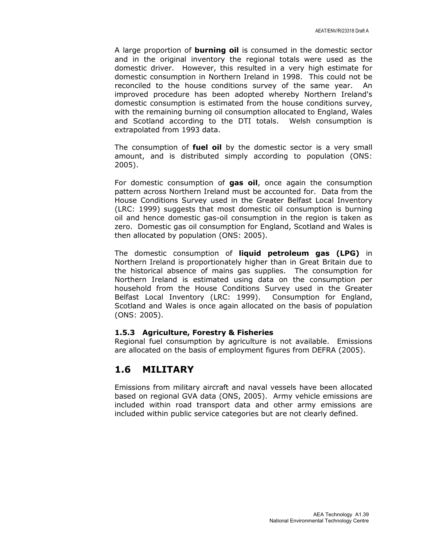A large proportion of **burning oil** is consumed in the domestic sector and in the original inventory the regional totals were used as the domestic driver. However, this resulted in a very high estimate for domestic consumption in Northern Ireland in 1998. This could not be reconciled to the house conditions survey of the same year. An improved procedure has been adopted whereby Northern Ireland's domestic consumption is estimated from the house conditions survey, with the remaining burning oil consumption allocated to England, Wales and Scotland according to the DTI totals. Welsh consumption is extrapolated from 1993 data.

The consumption of fuel oil by the domestic sector is a very small amount, and is distributed simply according to population (ONS: 2005).

For domestic consumption of gas oil, once again the consumption pattern across Northern Ireland must be accounted for. Data from the House Conditions Survey used in the Greater Belfast Local Inventory (LRC: 1999) suggests that most domestic oil consumption is burning oil and hence domestic gas-oil consumption in the region is taken as zero. Domestic gas oil consumption for England, Scotland and Wales is then allocated by population (ONS: 2005).

The domestic consumption of liquid petroleum gas (LPG) in Northern Ireland is proportionately higher than in Great Britain due to the historical absence of mains gas supplies. The consumption for Northern Ireland is estimated using data on the consumption per household from the House Conditions Survey used in the Greater Belfast Local Inventory (LRC: 1999). Consumption for England, Scotland and Wales is once again allocated on the basis of population (ONS: 2005).

#### 1.5.3 Agriculture, Forestry & Fisheries

Regional fuel consumption by agriculture is not available. Emissions are allocated on the basis of employment figures from DEFRA (2005).

### 1.6 MILITARY

Emissions from military aircraft and naval vessels have been allocated based on regional GVA data (ONS, 2005). Army vehicle emissions are included within road transport data and other army emissions are included within public service categories but are not clearly defined.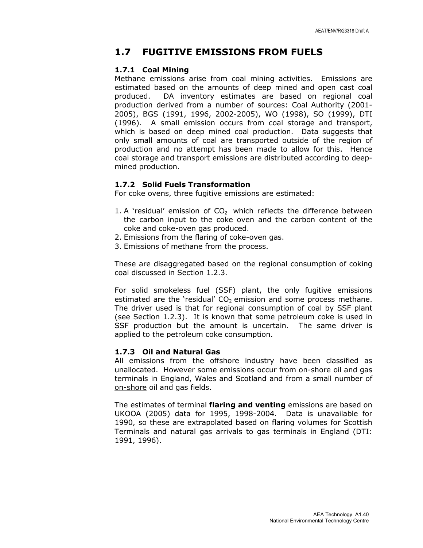### 1.7 FUGITIVE EMISSIONS FROM FUELS

#### 1.7.1 Coal Mining

Methane emissions arise from coal mining activities. Emissions are estimated based on the amounts of deep mined and open cast coal produced. DA inventory estimates are based on regional coal production derived from a number of sources: Coal Authority (2001- 2005), BGS (1991, 1996, 2002-2005), WO (1998), SO (1999), DTI (1996). A small emission occurs from coal storage and transport, which is based on deep mined coal production. Data suggests that only small amounts of coal are transported outside of the region of production and no attempt has been made to allow for this. Hence coal storage and transport emissions are distributed according to deepmined production.

#### 1.7.2 Solid Fuels Transformation

For coke ovens, three fugitive emissions are estimated:

- 1. A 'residual' emission of  $CO<sub>2</sub>$  which reflects the difference between the carbon input to the coke oven and the carbon content of the coke and coke-oven gas produced.
- 2. Emissions from the flaring of coke-oven gas.
- 3. Emissions of methane from the process.

These are disaggregated based on the regional consumption of coking coal discussed in Section 1.2.3.

For solid smokeless fuel (SSF) plant, the only fugitive emissions estimated are the 'residual'  $CO<sub>2</sub>$  emission and some process methane. The driver used is that for regional consumption of coal by SSF plant (see Section 1.2.3). It is known that some petroleum coke is used in SSF production but the amount is uncertain. The same driver is applied to the petroleum coke consumption.

#### 1.7.3 Oil and Natural Gas

All emissions from the offshore industry have been classified as unallocated. However some emissions occur from on-shore oil and gas terminals in England, Wales and Scotland and from a small number of on-shore oil and gas fields.

The estimates of terminal flaring and venting emissions are based on UKOOA (2005) data for 1995, 1998-2004. Data is unavailable for 1990, so these are extrapolated based on flaring volumes for Scottish Terminals and natural gas arrivals to gas terminals in England (DTI: 1991, 1996).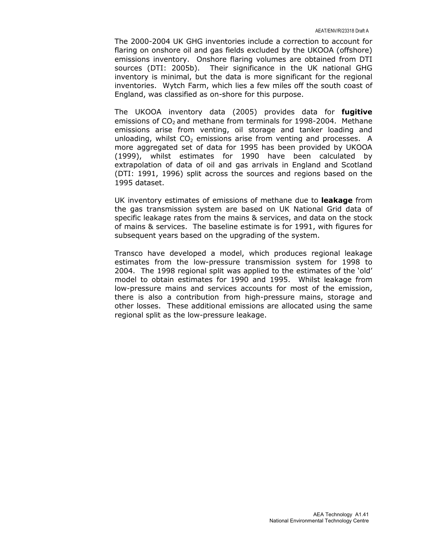The 2000-2004 UK GHG inventories include a correction to account for flaring on onshore oil and gas fields excluded by the UKOOA (offshore) emissions inventory. Onshore flaring volumes are obtained from DTI sources (DTI: 2005b). Their significance in the UK national GHG inventory is minimal, but the data is more significant for the regional inventories. Wytch Farm, which lies a few miles off the south coast of England, was classified as on-shore for this purpose.

The UKOOA inventory data (2005) provides data for **fugitive** emissions of  $CO<sub>2</sub>$  and methane from terminals for 1998-2004. Methane emissions arise from venting, oil storage and tanker loading and unloading, whilst  $CO<sub>2</sub>$  emissions arise from venting and processes. A more aggregated set of data for 1995 has been provided by UKOOA (1999), whilst estimates for 1990 have been calculated by extrapolation of data of oil and gas arrivals in England and Scotland (DTI: 1991, 1996) split across the sources and regions based on the 1995 dataset.

UK inventory estimates of emissions of methane due to **leakage** from the gas transmission system are based on UK National Grid data of specific leakage rates from the mains & services, and data on the stock of mains & services. The baseline estimate is for 1991, with figures for subsequent years based on the upgrading of the system.

Transco have developed a model, which produces regional leakage estimates from the low-pressure transmission system for 1998 to 2004. The 1998 regional split was applied to the estimates of the 'old' model to obtain estimates for 1990 and 1995. Whilst leakage from low-pressure mains and services accounts for most of the emission, there is also a contribution from high-pressure mains, storage and other losses. These additional emissions are allocated using the same regional split as the low-pressure leakage.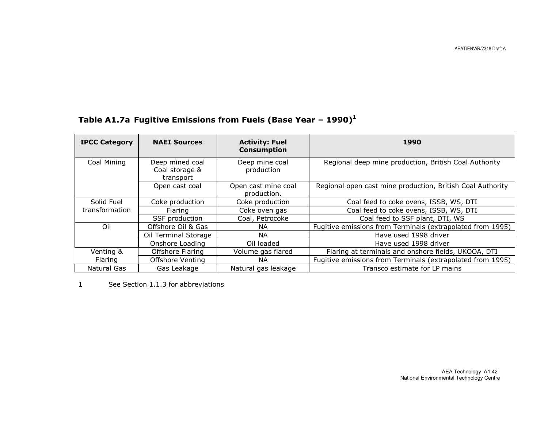# Table A1.7a Fugitive Emissions from Fuels (Base Year - 1990)<sup>1</sup>

| <b>IPCC Category</b> | <b>NAEI Sources</b>                            | <b>Activity: Fuel</b><br><b>Consumption</b> | 1990                                                       |
|----------------------|------------------------------------------------|---------------------------------------------|------------------------------------------------------------|
| Coal Mining          | Deep mined coal<br>Coal storage &<br>transport | Deep mine coal<br>production                | Regional deep mine production, British Coal Authority      |
|                      | Open cast coal                                 | Open cast mine coal<br>production.          | Regional open cast mine production, British Coal Authority |
| Solid Fuel           | Coke production                                | Coke production                             | Coal feed to coke ovens, ISSB, WS, DTI                     |
| transformation       | <b>Flaring</b>                                 | Coke oven gas                               | Coal feed to coke ovens, ISSB, WS, DTI                     |
|                      | SSF production                                 | Coal, Petrocoke                             | Coal feed to SSF plant, DTI, WS                            |
| Oil                  | Offshore Oil & Gas                             | NA.                                         | Fugitive emissions from Terminals (extrapolated from 1995) |
|                      | Oil Terminal Storage                           | NA.                                         | Have used 1998 driver                                      |
|                      | Onshore Loading                                | Oil loaded                                  | Have used 1998 driver                                      |
| Venting &            | Offshore Flaring                               | Volume gas flared                           | Flaring at terminals and onshore fields, UKOOA, DTI        |
| Flaring              | Offshore Venting                               | NA.                                         | Fugitive emissions from Terminals (extrapolated from 1995) |
| Natural Gas          | Gas Leakage                                    | Natural gas leakage                         | Transco estimate for LP mains                              |

1 See Section 1.1.3 for abbreviations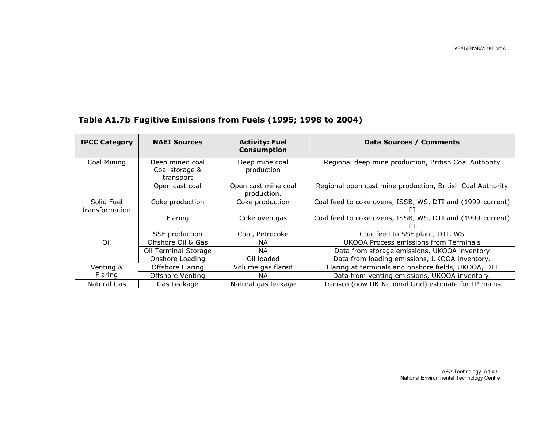AEAT/ENV/R/2318 Draft A

# Table A1.7b Fugitive Emissions from Fuels (1995; 1998 to 2004)

| <b>IPCC Category</b>         | <b>NAEI Sources</b>                            | <b>Activity: Fuel</b><br><b>Consumption</b> | Data Sources / Comments                                         |
|------------------------------|------------------------------------------------|---------------------------------------------|-----------------------------------------------------------------|
| Coal Mining                  | Deep mined coal<br>Coal storage &<br>transport | Deep mine coal<br>production                | Regional deep mine production, British Coal Authority           |
|                              | Open cast coal                                 | Open cast mine coal<br>production.          | Regional open cast mine production, British Coal Authority      |
| Solid Fuel<br>transformation | Coke production                                | Coke production                             | Coal feed to coke ovens, ISSB, WS, DTI and (1999-current)       |
|                              | Flaring                                        | Coke oven gas                               | Coal feed to coke ovens, ISSB, WS, DTI and (1999-current)<br>PI |
|                              | SSF production                                 | Coal, Petrocoke                             | Coal feed to SSF plant, DTI, WS                                 |
| Oil                          | Offshore Oil & Gas                             | NA.                                         | UKOOA Process emissions from Terminals                          |
|                              | Oil Terminal Storage                           | NA.                                         | Data from storage emissions, UKOOA inventory                    |
|                              | Onshore Loading                                | Oil loaded                                  | Data from loading emissions, UKOOA inventory.                   |
| Venting &                    | Offshore Flaring                               | Volume gas flared                           | Flaring at terminals and onshore fields, UKOOA, DTI             |
| <b>Flaring</b>               | Offshore Venting                               | NA.                                         | Data from venting emissions, UKOOA inventory.                   |
| Natural Gas                  | Gas Leakage                                    | Natural gas leakage                         | Transco (now UK National Grid) estimate for LP mains            |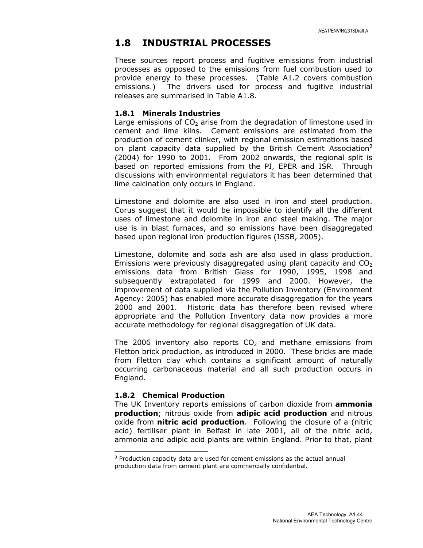## 1.8 INDUSTRIAL PROCESSES

These sources report process and fugitive emissions from industrial processes as opposed to the emissions from fuel combustion used to provide energy to these processes. (Table A1.2 covers combustion emissions.) The drivers used for process and fugitive industrial releases are summarised in Table A1.8.

#### 1.8.1 Minerals Industries

Large emissions of  $CO<sub>2</sub>$  arise from the degradation of limestone used in cement and lime kilns. Cement emissions are estimated from the production of cement clinker, with regional emission estimations based on plant capacity data supplied by the British Cement Association $3$ (2004) for 1990 to 2001. From 2002 onwards, the regional split is based on reported emissions from the PI, EPER and ISR. Through discussions with environmental regulators it has been determined that lime calcination only occurs in England.

Limestone and dolomite are also used in iron and steel production. Corus suggest that it would be impossible to identify all the different uses of limestone and dolomite in iron and steel making. The major use is in blast furnaces, and so emissions have been disaggregated based upon regional iron production figures (ISSB, 2005).

Limestone, dolomite and soda ash are also used in glass production. Emissions were previously disaggregated using plant capacity and  $CO<sub>2</sub>$ emissions data from British Glass for 1990, 1995, 1998 and subsequently extrapolated for 1999 and 2000. However, the improvement of data supplied via the Pollution Inventory (Environment Agency: 2005) has enabled more accurate disaggregation for the years 2000 and 2001. Historic data has therefore been revised where appropriate and the Pollution Inventory data now provides a more accurate methodology for regional disaggregation of UK data.

The 2006 inventory also reports  $CO<sub>2</sub>$  and methane emissions from Fletton brick production, as introduced in 2000. These bricks are made from Fletton clay which contains a significant amount of naturally occurring carbonaceous material and all such production occurs in England.

#### 1.8.2 Chemical Production

 $\overline{a}$ 

The UK Inventory reports emissions of carbon dioxide from **ammonia** production; nitrous oxide from adipic acid production and nitrous oxide from **nitric acid production**. Following the closure of a (nitric acid) fertiliser plant in Belfast in late 2001, all of the nitric acid, ammonia and adipic acid plants are within England. Prior to that, plant

<sup>&</sup>lt;sup>3</sup> Production capacity data are used for cement emissions as the actual annual production data from cement plant are commercially confidential.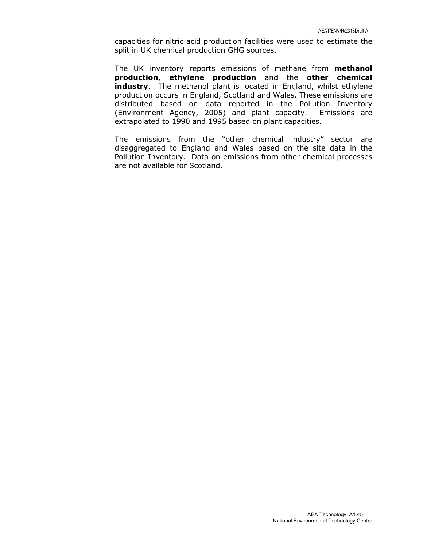capacities for nitric acid production facilities were used to estimate the split in UK chemical production GHG sources.

The UK inventory reports emissions of methane from **methanol** production, ethylene production and the other chemical industry. The methanol plant is located in England, whilst ethylene production occurs in England, Scotland and Wales. These emissions are distributed based on data reported in the Pollution Inventory (Environment Agency, 2005) and plant capacity. Emissions are extrapolated to 1990 and 1995 based on plant capacities.

The emissions from the "other chemical industry" sector are disaggregated to England and Wales based on the site data in the Pollution Inventory. Data on emissions from other chemical processes are not available for Scotland.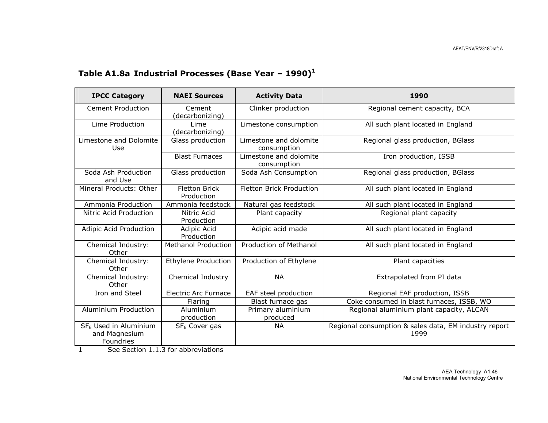# Table A1.8a Industrial Processes (Base Year - 1990)<sup>1</sup>

| <b>IPCC Category</b>                                            | <b>NAEI Sources</b>                | <b>Activity Data</b>                  | 1990                                                          |
|-----------------------------------------------------------------|------------------------------------|---------------------------------------|---------------------------------------------------------------|
| <b>Cement Production</b>                                        | Cement<br>(decarbonizing)          | Clinker production                    | Regional cement capacity, BCA                                 |
| Lime Production                                                 | Lime<br>(decarbonizing)            | Limestone consumption                 | All such plant located in England                             |
| Limestone and Dolomite<br>Use                                   | Glass production                   | Limestone and dolomite<br>consumption | Regional glass production, BGlass                             |
|                                                                 | <b>Blast Furnaces</b>              | Limestone and dolomite<br>consumption | Iron production, ISSB                                         |
| Soda Ash Production<br>and Use                                  | Glass production                   | Soda Ash Consumption                  | Regional glass production, BGlass                             |
| Mineral Products: Other                                         | <b>Fletton Brick</b><br>Production | <b>Fletton Brick Production</b>       | All such plant located in England                             |
| Ammonia Production                                              | Ammonia feedstock                  | Natural gas feedstock                 | All such plant located in England                             |
| Nitric Acid Production                                          | Nitric Acid<br>Production          | Plant capacity                        | Regional plant capacity                                       |
| Adipic Acid Production                                          | Adipic Acid<br>Production          | Adipic acid made                      | All such plant located in England                             |
| Chemical Industry:<br>Other                                     | <b>Methanol Production</b>         | Production of Methanol                | All such plant located in England                             |
| Chemical Industry:<br>Other                                     | <b>Ethylene Production</b>         | Production of Ethylene                | Plant capacities                                              |
| Chemical Industry:<br>Other                                     | Chemical Industry                  | <b>NA</b>                             | Extrapolated from PI data                                     |
| Iron and Steel                                                  | <b>Electric Arc Furnace</b>        | EAF steel production                  | Regional EAF production, ISSB                                 |
|                                                                 | Flaring                            | Blast furnace gas                     | Coke consumed in blast furnaces, ISSB, WO                     |
| Aluminium Production<br>Aluminium<br>production                 |                                    | Primary aluminium<br>produced         | Regional aluminium plant capacity, ALCAN                      |
| SF <sub>6</sub> Used in Aluminium<br>and Magnesium<br>Foundries | SF <sub>6</sub> Cover gas          | <b>NA</b>                             | Regional consumption & sales data, EM industry report<br>1999 |

1 See Section 1.1.3 for abbreviations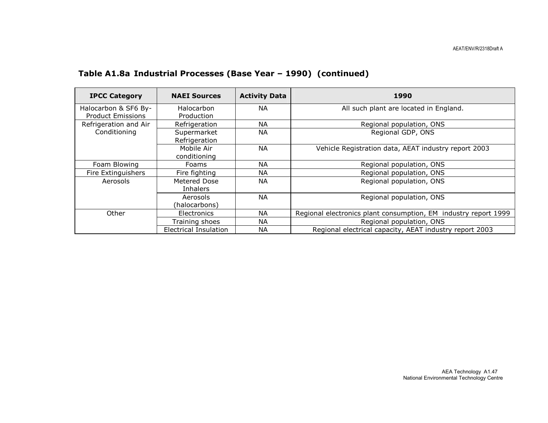| <b>IPCC Category</b>                             | <b>NAEI Sources</b>             | <b>Activity Data</b> | 1990                                                            |
|--------------------------------------------------|---------------------------------|----------------------|-----------------------------------------------------------------|
| Halocarbon & SF6 By-<br><b>Product Emissions</b> | Halocarbon<br>Production        | NА                   | All such plant are located in England.                          |
| Refrigeration and Air                            | Refrigeration                   | NА                   | Regional population, ONS                                        |
| Conditioning                                     | Supermarket<br>Refrigeration    | NA.                  | Regional GDP, ONS                                               |
|                                                  | Mobile Air<br>conditioning      | <b>NA</b>            | Vehicle Registration data, AEAT industry report 2003            |
| Foam Blowing                                     | Foams                           | NА                   | Regional population, ONS                                        |
| Fire Extinguishers                               | Fire fighting                   | NА                   | Regional population, ONS                                        |
| Aerosols                                         | Metered Dose<br><b>Inhalers</b> | NA.                  | Regional population, ONS                                        |
|                                                  | Aerosols<br>(halocarbons)       | <b>NA</b>            | Regional population, ONS                                        |
| Other                                            | Electronics                     | NА                   | Regional electronics plant consumption, EM industry report 1999 |
|                                                  | Training shoes                  | NA.                  | Regional population, ONS                                        |
|                                                  | Electrical Insulation           | ΝA                   | Regional electrical capacity, AEAT industry report 2003         |

### Table A1.8a Industrial Processes (Base Year – 1990) (continued)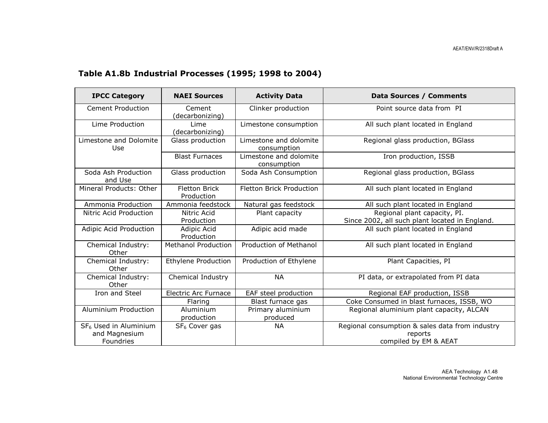# Table A1.8b Industrial Processes (1995; 1998 to 2004)

| <b>IPCC Category</b>                                            | <b>NAEI Sources</b>                             | <b>Activity Data</b>                  | <b>Data Sources / Comments</b>                                                      |  |
|-----------------------------------------------------------------|-------------------------------------------------|---------------------------------------|-------------------------------------------------------------------------------------|--|
| <b>Cement Production</b>                                        | Clinker production<br>Cement<br>(decarbonizing) |                                       | Point source data from PI                                                           |  |
| Lime Production                                                 | Lime<br>(decarbonizing)                         | Limestone consumption                 | All such plant located in England                                                   |  |
| Limestone and Dolomite<br>Use                                   | Glass production                                | Limestone and dolomite<br>consumption | Regional glass production, BGlass                                                   |  |
|                                                                 | <b>Blast Furnaces</b>                           | Limestone and dolomite<br>consumption | Iron production, ISSB                                                               |  |
| Soda Ash Production<br>and Use                                  | Glass production                                | Soda Ash Consumption                  | Regional glass production, BGlass                                                   |  |
| Mineral Products: Other<br><b>Fletton Brick</b><br>Production   |                                                 | <b>Fletton Brick Production</b>       | All such plant located in England                                                   |  |
| Ammonia Production                                              | Ammonia feedstock                               | Natural gas feedstock                 | All such plant located in England                                                   |  |
| Nitric Acid Production                                          | Nitric Acid<br>Production                       | Plant capacity                        | Regional plant capacity, PI.<br>Since 2002, all such plant located in England.      |  |
| Adipic Acid Production                                          | Adipic Acid<br>Production                       | Adipic acid made                      | All such plant located in England                                                   |  |
| Chemical Industry:<br>Other                                     | <b>Methanol Production</b>                      | Production of Methanol                | All such plant located in England                                                   |  |
| Chemical Industry:<br>Other                                     | <b>Ethylene Production</b>                      | Production of Ethylene                | Plant Capacities, PI                                                                |  |
| Chemical Industry:<br>Other                                     | Chemical Industry                               | <b>NA</b>                             | PI data, or extrapolated from PI data                                               |  |
| Iron and Steel                                                  | <b>Electric Arc Furnace</b>                     | EAF steel production                  | Regional EAF production, ISSB                                                       |  |
|                                                                 | Flaring                                         | Blast furnace gas                     | Coke Consumed in blast furnaces, ISSB, WO                                           |  |
| Aluminium Production                                            | Aluminium<br>production                         | Primary aluminium<br>produced         | Regional aluminium plant capacity, ALCAN                                            |  |
| SF <sub>6</sub> Used in Aluminium<br>and Magnesium<br>Foundries | SF <sub>6</sub> Cover gas                       | <b>NA</b>                             | Regional consumption & sales data from industry<br>reports<br>compiled by EM & AEAT |  |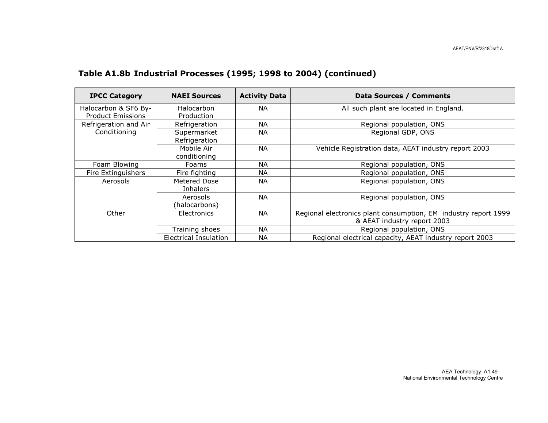| <b>IPCC Category</b>                             | <b>NAEI Sources</b>             | <b>Activity Data</b> | Data Sources / Comments                                                                        |
|--------------------------------------------------|---------------------------------|----------------------|------------------------------------------------------------------------------------------------|
| Halocarbon & SF6 By-<br><b>Product Emissions</b> | Halocarbon<br>Production        | NA.                  | All such plant are located in England.                                                         |
| Refrigeration and Air                            | Refrigeration                   | <b>NA</b>            | Regional population, ONS                                                                       |
| Conditioning                                     | Supermarket<br>Refrigeration    | <b>NA</b>            | Regional GDP, ONS                                                                              |
|                                                  | Mobile Air<br>conditioning      | <b>NA</b>            | Vehicle Registration data, AEAT industry report 2003                                           |
| Foam Blowing                                     | <b>Foams</b>                    | NA.                  | Regional population, ONS                                                                       |
| Fire Extinguishers                               | Fire fighting                   | NА                   | Regional population, ONS                                                                       |
| Aerosols                                         | Metered Dose<br><b>Inhalers</b> | <b>NA</b>            | Regional population, ONS                                                                       |
|                                                  | Aerosols<br>(halocarbons)       | <b>NA</b>            | Regional population, ONS                                                                       |
| Other                                            | <b>Electronics</b>              | NA.                  | Regional electronics plant consumption, EM industry report 1999<br>& AEAT industry report 2003 |
|                                                  | Training shoes                  | NA.                  | Regional population, ONS                                                                       |
|                                                  | Electrical Insulation           | NА                   | Regional electrical capacity, AEAT industry report 2003                                        |

# Table A1.8b Industrial Processes (1995; 1998 to 2004) (continued)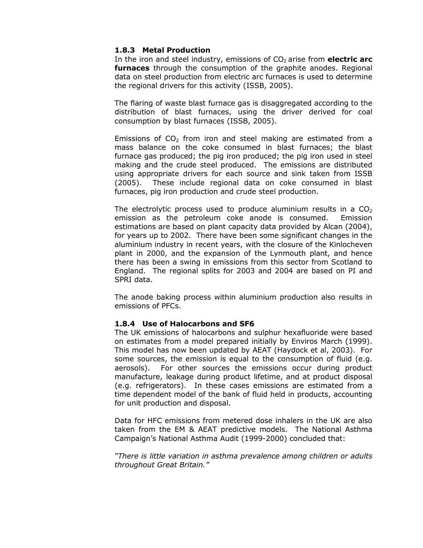#### 1.8.3 Metal Production

In the iron and steel industry, emissions of  $CO<sub>2</sub>$  arise from electric arc furnaces through the consumption of the graphite anodes. Regional data on steel production from electric arc furnaces is used to determine the regional drivers for this activity (ISSB, 2005).

The flaring of waste blast furnace gas is disaggregated according to the distribution of blast furnaces, using the driver derived for coal consumption by blast furnaces (ISSB, 2005).

Emissions of  $CO<sub>2</sub>$  from iron and steel making are estimated from a mass balance on the coke consumed in blast furnaces; the blast furnace gas produced; the pig iron produced; the pig iron used in steel making and the crude steel produced. The emissions are distributed using appropriate drivers for each source and sink taken from ISSB (2005). These include regional data on coke consumed in blast furnaces, pig iron production and crude steel production.

The electrolytic process used to produce aluminium results in a  $CO<sub>2</sub>$ emission as the petroleum coke anode is consumed. Emission estimations are based on plant capacity data provided by Alcan (2004), for years up to 2002. There have been some significant changes in the aluminium industry in recent years, with the closure of the Kinlocheven plant in 2000, and the expansion of the Lynmouth plant, and hence there has been a swing in emissions from this sector from Scotland to England. The regional splits for 2003 and 2004 are based on PI and SPRI data.

The anode baking process within aluminium production also results in emissions of PFCs.

#### 1.8.4 Use of Halocarbons and SF6

The UK emissions of halocarbons and sulphur hexafluoride were based on estimates from a model prepared initially by Enviros March (1999). This model has now been updated by AEAT (Haydock et al, 2003). For some sources, the emission is equal to the consumption of fluid (e.g. aerosols). For other sources the emissions occur during product manufacture, leakage during product lifetime, and at product disposal (e.g. refrigerators). In these cases emissions are estimated from a time dependent model of the bank of fluid held in products, accounting for unit production and disposal.

Data for HFC emissions from metered dose inhalers in the UK are also taken from the EM & AEAT predictive models. The National Asthma Campaign's National Asthma Audit (1999-2000) concluded that:

"There is little variation in asthma prevalence among children or adults throughout Great Britain."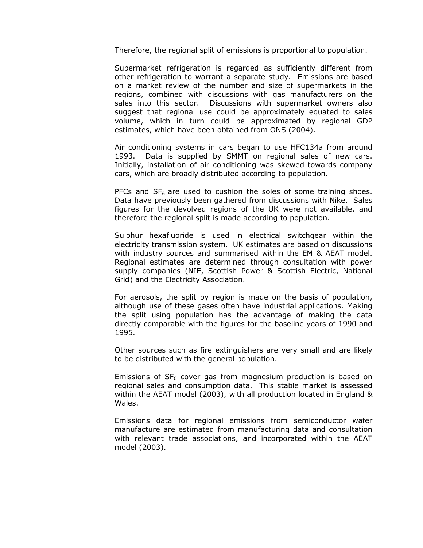Therefore, the regional split of emissions is proportional to population.

Supermarket refrigeration is regarded as sufficiently different from other refrigeration to warrant a separate study. Emissions are based on a market review of the number and size of supermarkets in the regions, combined with discussions with gas manufacturers on the sales into this sector. Discussions with supermarket owners also suggest that regional use could be approximately equated to sales volume, which in turn could be approximated by regional GDP estimates, which have been obtained from ONS (2004).

Air conditioning systems in cars began to use HFC134a from around 1993. Data is supplied by SMMT on regional sales of new cars. Initially, installation of air conditioning was skewed towards company cars, which are broadly distributed according to population.

PFCs and  $SF<sub>6</sub>$  are used to cushion the soles of some training shoes. Data have previously been gathered from discussions with Nike. Sales figures for the devolved regions of the UK were not available, and therefore the regional split is made according to population.

Sulphur hexafluoride is used in electrical switchgear within the electricity transmission system. UK estimates are based on discussions with industry sources and summarised within the EM & AEAT model. Regional estimates are determined through consultation with power supply companies (NIE, Scottish Power & Scottish Electric, National Grid) and the Electricity Association.

For aerosols, the split by region is made on the basis of population, although use of these gases often have industrial applications. Making the split using population has the advantage of making the data directly comparable with the figures for the baseline years of 1990 and 1995.

Other sources such as fire extinguishers are very small and are likely to be distributed with the general population.

Emissions of  $SF_6$  cover gas from magnesium production is based on regional sales and consumption data. This stable market is assessed within the AEAT model (2003), with all production located in England & Wales.

Emissions data for regional emissions from semiconductor wafer manufacture are estimated from manufacturing data and consultation with relevant trade associations, and incorporated within the AEAT model (2003).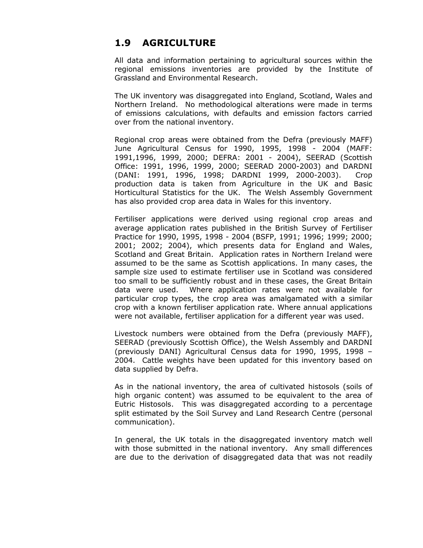# 1.9 AGRICULTURE

All data and information pertaining to agricultural sources within the regional emissions inventories are provided by the Institute of Grassland and Environmental Research.

The UK inventory was disaggregated into England, Scotland, Wales and Northern Ireland. No methodological alterations were made in terms of emissions calculations, with defaults and emission factors carried over from the national inventory.

Regional crop areas were obtained from the Defra (previously MAFF) June Agricultural Census for 1990, 1995, 1998 - 2004 (MAFF: 1991,1996, 1999, 2000; DEFRA: 2001 - 2004), SEERAD (Scottish Office: 1991, 1996, 1999, 2000; SEERAD 2000-2003) and DARDNI (DANI: 1991, 1996, 1998; DARDNI 1999, 2000-2003). Crop production data is taken from Agriculture in the UK and Basic Horticultural Statistics for the UK. The Welsh Assembly Government has also provided crop area data in Wales for this inventory.

Fertiliser applications were derived using regional crop areas and average application rates published in the British Survey of Fertiliser Practice for 1990, 1995, 1998 - 2004 (BSFP, 1991; 1996; 1999; 2000; 2001; 2002; 2004), which presents data for England and Wales, Scotland and Great Britain. Application rates in Northern Ireland were assumed to be the same as Scottish applications. In many cases, the sample size used to estimate fertiliser use in Scotland was considered too small to be sufficiently robust and in these cases, the Great Britain data were used. Where application rates were not available for particular crop types, the crop area was amalgamated with a similar crop with a known fertiliser application rate. Where annual applications were not available, fertiliser application for a different year was used.

Livestock numbers were obtained from the Defra (previously MAFF), SEERAD (previously Scottish Office), the Welsh Assembly and DARDNI (previously DANI) Agricultural Census data for 1990, 1995, 1998 – 2004. Cattle weights have been updated for this inventory based on data supplied by Defra.

As in the national inventory, the area of cultivated histosols (soils of high organic content) was assumed to be equivalent to the area of Eutric Histosols. This was disaggregated according to a percentage split estimated by the Soil Survey and Land Research Centre (personal communication).

In general, the UK totals in the disaggregated inventory match well with those submitted in the national inventory. Any small differences are due to the derivation of disaggregated data that was not readily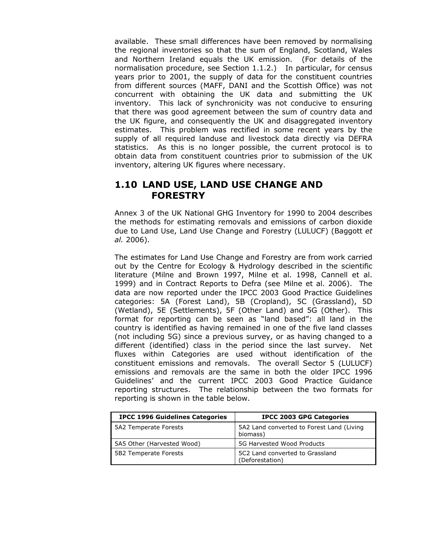available. These small differences have been removed by normalising the regional inventories so that the sum of England, Scotland, Wales and Northern Ireland equals the UK emission. (For details of the normalisation procedure, see Section 1.1.2.) In particular, for census years prior to 2001, the supply of data for the constituent countries from different sources (MAFF, DANI and the Scottish Office) was not concurrent with obtaining the UK data and submitting the UK inventory. This lack of synchronicity was not conducive to ensuring that there was good agreement between the sum of country data and the UK figure, and consequently the UK and disaggregated inventory estimates. This problem was rectified in some recent years by the supply of all required landuse and livestock data directly via DEFRA statistics. As this is no longer possible, the current protocol is to obtain data from constituent countries prior to submission of the UK inventory, altering UK figures where necessary.

## 1.10 LAND USE, LAND USE CHANGE AND **FORESTRY**

Annex 3 of the UK National GHG Inventory for 1990 to 2004 describes the methods for estimating removals and emissions of carbon dioxide due to Land Use, Land Use Change and Forestry (LULUCF) (Baggott et al. 2006).

The estimates for Land Use Change and Forestry are from work carried out by the Centre for Ecology & Hydrology described in the scientific literature (Milne and Brown 1997, Milne et al. 1998, Cannell et al. 1999) and in Contract Reports to Defra (see Milne et al. 2006). The data are now reported under the IPCC 2003 Good Practice Guidelines categories: 5A (Forest Land), 5B (Cropland), 5C (Grassland), 5D (Wetland), 5E (Settlements), 5F (Other Land) and 5G (Other). This format for reporting can be seen as "land based": all land in the country is identified as having remained in one of the five land classes (not including 5G) since a previous survey, or as having changed to a different (identified) class in the period since the last survey. Net fluxes within Categories are used without identification of the constituent emissions and removals. The overall Sector 5 (LULUCF) emissions and removals are the same in both the older IPCC 1996 Guidelines' and the current IPCC 2003 Good Practice Guidance reporting structures. The relationship between the two formats for reporting is shown in the table below.

| <b>IPCC 1996 Guidelines Categories</b> | <b>IPCC 2003 GPG Categories</b>                       |
|----------------------------------------|-------------------------------------------------------|
| 5A2 Temperate Forests                  | 5A2 Land converted to Forest Land (Living<br>biomass) |
| 5A5 Other (Harvested Wood)             | 5G Harvested Wood Products                            |
| 5B2 Temperate Forests                  | 5C2 Land converted to Grassland<br>(Deforestation)    |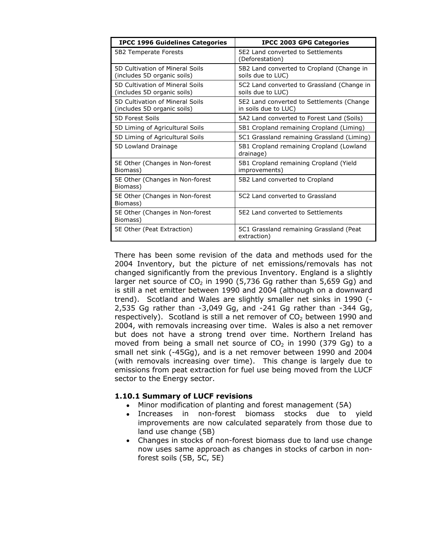| <b>IPCC 1996 Guidelines Categories</b>                         | <b>IPCC 2003 GPG Categories</b>                                   |
|----------------------------------------------------------------|-------------------------------------------------------------------|
| 5B2 Temperate Forests                                          | 5E2 Land converted to Settlements<br>(Deforestation)              |
| 5D Cultivation of Mineral Soils<br>(includes 5D organic soils) | 5B2 Land converted to Cropland (Change in<br>soils due to LUC)    |
| 5D Cultivation of Mineral Soils<br>(includes 5D organic soils) | 5C2 Land converted to Grassland (Change in<br>soils due to LUC)   |
| 5D Cultivation of Mineral Soils<br>(includes 5D organic soils) | 5E2 Land converted to Settlements (Change<br>in soils due to LUC) |
| 5D Forest Soils                                                | 5A2 Land converted to Forest Land (Soils)                         |
| 5D Liming of Agricultural Soils                                | 5B1 Cropland remaining Cropland (Liming)                          |
| 5D Liming of Agricultural Soils                                | 5C1 Grassland remaining Grassland (Liming)                        |
| 5D Lowland Drainage                                            | 5B1 Cropland remaining Cropland (Lowland<br>drainage)             |
| 5E Other (Changes in Non-forest<br>Biomass)                    | 5B1 Cropland remaining Cropland (Yield<br>improvements)           |
| 5E Other (Changes in Non-forest<br>Biomass)                    | 5B2 Land converted to Cropland                                    |
| 5E Other (Changes in Non-forest<br>Biomass)                    | 5C2 Land converted to Grassland                                   |
| 5E Other (Changes in Non-forest<br>Biomass)                    | 5F2 Land converted to Settlements                                 |
| 5E Other (Peat Extraction)                                     | 5C1 Grassland remaining Grassland (Peat<br>extraction)            |

There has been some revision of the data and methods used for the 2004 Inventory, but the picture of net emissions/removals has not changed significantly from the previous Inventory. England is a slightly larger net source of  $CO<sub>2</sub>$  in 1990 (5,736 Gg rather than 5,659 Gg) and is still a net emitter between 1990 and 2004 (although on a downward trend). Scotland and Wales are slightly smaller net sinks in 1990 (- 2,535 Gg rather than -3,049 Gg, and -241 Gg rather than -344 Gg, respectively). Scotland is still a net remover of  $CO<sub>2</sub>$  between 1990 and 2004, with removals increasing over time. Wales is also a net remover but does not have a strong trend over time. Northern Ireland has moved from being a small net source of  $CO<sub>2</sub>$  in 1990 (379 Gg) to a small net sink (-45Gg), and is a net remover between 1990 and 2004 (with removals increasing over time). This change is largely due to emissions from peat extraction for fuel use being moved from the LUCF sector to the Energy sector.

#### 1.10.1 Summary of LUCF revisions

- Minor modification of planting and forest management (5A)
- Increases in non-forest biomass stocks due to yield improvements are now calculated separately from those due to land use change (5B)
- Changes in stocks of non-forest biomass due to land use change now uses same approach as changes in stocks of carbon in nonforest soils (5B, 5C, 5E)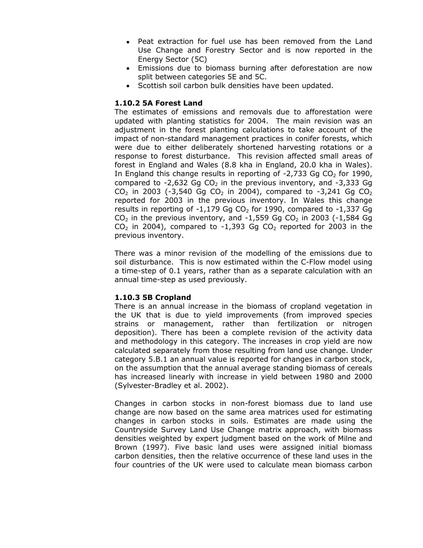- Peat extraction for fuel use has been removed from the Land Use Change and Forestry Sector and is now reported in the Energy Sector (5C)
- Emissions due to biomass burning after deforestation are now split between categories 5E and 5C.
- Scottish soil carbon bulk densities have been updated.

#### 1.10.2 5A Forest Land

The estimates of emissions and removals due to afforestation were updated with planting statistics for 2004. The main revision was an adjustment in the forest planting calculations to take account of the impact of non-standard management practices in conifer forests, which were due to either deliberately shortened harvesting rotations or a response to forest disturbance. This revision affected small areas of forest in England and Wales (8.8 kha in England, 20.0 kha in Wales). In England this change results in reporting of  $-2,733$  Gg CO<sub>2</sub> for 1990, compared to  $-2,632$  Gg CO<sub>2</sub> in the previous inventory, and  $-3,333$  Gg  $CO<sub>2</sub>$  in 2003 (-3,540 Gg CO<sub>2</sub> in 2004), compared to -3,241 Gg CO<sub>2</sub> reported for 2003 in the previous inventory. In Wales this change results in reporting of  $-1,179$  Gg CO<sub>2</sub> for 1990, compared to  $-1,337$  Gg  $CO<sub>2</sub>$  in the previous inventory, and -1,559 Gg  $CO<sub>2</sub>$  in 2003 (-1,584 Gg  $CO<sub>2</sub>$  in 2004), compared to -1,393 Gg  $CO<sub>2</sub>$  reported for 2003 in the previous inventory.

There was a minor revision of the modelling of the emissions due to soil disturbance. This is now estimated within the C-Flow model using a time-step of 0.1 years, rather than as a separate calculation with an annual time-step as used previously.

#### 1.10.3 5B Cropland

There is an annual increase in the biomass of cropland vegetation in the UK that is due to yield improvements (from improved species strains or management, rather than fertilization or nitrogen deposition). There has been a complete revision of the activity data and methodology in this category. The increases in crop yield are now calculated separately from those resulting from land use change. Under category 5.B.1 an annual value is reported for changes in carbon stock, on the assumption that the annual average standing biomass of cereals has increased linearly with increase in yield between 1980 and 2000 (Sylvester-Bradley et al. 2002).

Changes in carbon stocks in non-forest biomass due to land use change are now based on the same area matrices used for estimating changes in carbon stocks in soils. Estimates are made using the Countryside Survey Land Use Change matrix approach, with biomass densities weighted by expert judgment based on the work of Milne and Brown (1997). Five basic land uses were assigned initial biomass carbon densities, then the relative occurrence of these land uses in the four countries of the UK were used to calculate mean biomass carbon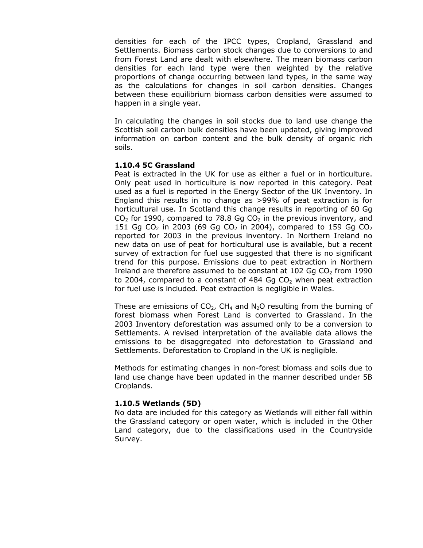densities for each of the IPCC types, Cropland, Grassland and Settlements. Biomass carbon stock changes due to conversions to and from Forest Land are dealt with elsewhere. The mean biomass carbon densities for each land type were then weighted by the relative proportions of change occurring between land types, in the same way as the calculations for changes in soil carbon densities. Changes between these equilibrium biomass carbon densities were assumed to happen in a single year.

In calculating the changes in soil stocks due to land use change the Scottish soil carbon bulk densities have been updated, giving improved information on carbon content and the bulk density of organic rich soils.

#### 1.10.4 5C Grassland

Peat is extracted in the UK for use as either a fuel or in horticulture. Only peat used in horticulture is now reported in this category. Peat used as a fuel is reported in the Energy Sector of the UK Inventory. In England this results in no change as >99% of peat extraction is for horticultural use. In Scotland this change results in reporting of 60 Gg  $CO<sub>2</sub>$  for 1990, compared to 78.8 Gg  $CO<sub>2</sub>$  in the previous inventory, and 151 Gg CO<sub>2</sub> in 2003 (69 Gg CO<sub>2</sub> in 2004), compared to 159 Gg CO<sub>2</sub> reported for 2003 in the previous inventory. In Northern Ireland no new data on use of peat for horticultural use is available, but a recent survey of extraction for fuel use suggested that there is no significant trend for this purpose. Emissions due to peat extraction in Northern Ireland are therefore assumed to be constant at  $102$  Gq CO<sub>2</sub> from 1990 to 2004, compared to a constant of 484 Gg  $CO<sub>2</sub>$  when peat extraction for fuel use is included. Peat extraction is negligible in Wales.

These are emissions of CO<sub>2</sub>, CH<sub>4</sub> and N<sub>2</sub>O resulting from the burning of forest biomass when Forest Land is converted to Grassland. In the 2003 Inventory deforestation was assumed only to be a conversion to Settlements. A revised interpretation of the available data allows the emissions to be disaggregated into deforestation to Grassland and Settlements. Deforestation to Cropland in the UK is negligible.

Methods for estimating changes in non-forest biomass and soils due to land use change have been updated in the manner described under 5B Croplands.

#### 1.10.5 Wetlands (5D)

No data are included for this category as Wetlands will either fall within the Grassland category or open water, which is included in the Other Land category, due to the classifications used in the Countryside Survey.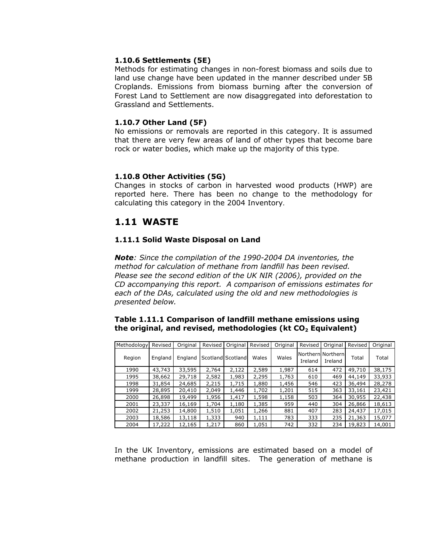#### 1.10.6 Settlements (5E)

Methods for estimating changes in non-forest biomass and soils due to land use change have been updated in the manner described under 5B Croplands. Emissions from biomass burning after the conversion of Forest Land to Settlement are now disaggregated into deforestation to Grassland and Settlements.

#### 1.10.7 Other Land (5F)

No emissions or removals are reported in this category. It is assumed that there are very few areas of land of other types that become bare rock or water bodies, which make up the majority of this type.

#### 1.10.8 Other Activities (5G)

Changes in stocks of carbon in harvested wood products (HWP) are reported here. There has been no change to the methodology for calculating this category in the 2004 Inventory.

### 1.11 WASTE

#### 1.11.1 Solid Waste Disposal on Land

Note: Since the compilation of the 1990-2004 DA inventories, the method for calculation of methane from landfill has been revised. Please see the second edition of the UK NIR (2006), provided on the CD accompanying this report. A comparison of emissions estimates for each of the DAs, calculated using the old and new methodologies is presented below.

#### Table 1.11.1 Comparison of landfill methane emissions using the original, and revised, methodologies (kt  $CO<sub>2</sub>$  Equivalent)

| Methodology | Revised | Original | Revised | Original          | Revised | Original | Revised | Original                     | Revised | Original |
|-------------|---------|----------|---------|-------------------|---------|----------|---------|------------------------------|---------|----------|
| Region      | England | England  |         | Scotland Scotland | Wales   | Wales    | Ireland | Northern Northern<br>Ireland | Total   | Total    |
| 1990        | 43,743  | 33,595   | 2,764   | 2,122             | 2,589   | 1,987    | 614     | 472                          | 49,710  | 38,175   |
| 1995        | 38,662  | 29,718   | 2,582   | 1,983             | 2,295   | 1,763    | 610     | 469                          | 44,149  | 33,933   |
| 1998        | 31,854  | 24,685   | 2,215   | 1,715             | 1,880   | 1,456    | 546     | 423                          | 36,494  | 28,278   |
| 1999        | 28,895  | 20,410   | 2,049   | 1,446             | 1,702   | 1,201    | 515     | 363                          | 33,161  | 23,421   |
| 2000        | 26,898  | 19,499   | 1,956   | 1,417             | 1,598   | 1,158    | 503     | 364                          | 30,955  | 22,438   |
| 2001        | 23,337  | 16,169   | 1,704   | 1,180             | 1,385   | 959      | 440     | 304                          | 26,866  | 18,613   |
| 2002        | 21,253  | 14,800   | 1,510   | 1,051             | 1,266   | 881      | 407     | 283                          | 24,437  | 17,015   |
| 2003        | 18,586  | 13,118   | 1,333   | 940               | 1,111   | 783      | 333     | 235                          | 21,363  | 15,077   |
| 2004        | 17,222  | 12,165   | 1,217   | 860               | 1,051   | 742      | 332     | 234                          | 19,823  | 14,001   |

In the UK Inventory, emissions are estimated based on a model of methane production in landfill sites. The generation of methane is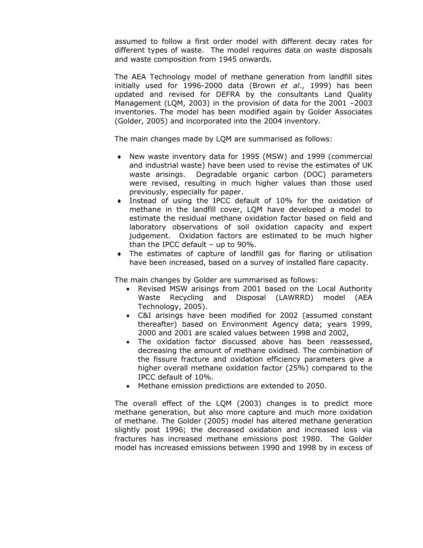assumed to follow a first order model with different decay rates for different types of waste. The model requires data on waste disposals and waste composition from 1945 onwards.

The AEA Technology model of methane generation from landfill sites initially used for  $1996-2000$  data (Brown et al., 1999) has been updated and revised for DEFRA by the consultants Land Quality Management (LQM, 2003) in the provision of data for the 2001 –2003 inventories. The model has been modified again by Golder Associates (Golder, 2005) and incorporated into the 2004 inventory.

The main changes made by LQM are summarised as follows:

- ♦ New waste inventory data for 1995 (MSW) and 1999 (commercial and industrial waste) have been used to revise the estimates of UK waste arisings. Degradable organic carbon (DOC) parameters were revised, resulting in much higher values than those used previously, especially for paper.
- ♦ Instead of using the IPCC default of 10% for the oxidation of methane in the landfill cover, LQM have developed a model to estimate the residual methane oxidation factor based on field and laboratory observations of soil oxidation capacity and expert judgement. Oxidation factors are estimated to be much higher than the IPCC default – up to 90%.
- ♦ The estimates of capture of landfill gas for flaring or utilisation have been increased, based on a survey of installed flare capacity.

The main changes by Golder are summarised as follows:

- Revised MSW arisings from 2001 based on the Local Authority Waste Recycling and Disposal (LAWRRD) model (AEA Technology, 2005).
- C&I arisings have been modified for 2002 (assumed constant thereafter) based on Environment Agency data; years 1999, 2000 and 2001 are scaled values between 1998 and 2002,
- The oxidation factor discussed above has been reassessed, decreasing the amount of methane oxidised. The combination of the fissure fracture and oxidation efficiency parameters give a higher overall methane oxidation factor (25%) compared to the IPCC default of 10%.
- Methane emission predictions are extended to 2050.

The overall effect of the LQM (2003) changes is to predict more methane generation, but also more capture and much more oxidation of methane. The Golder (2005) model has altered methane generation slightly post 1996; the decreased oxidation and increased loss via fractures has increased methane emissions post 1980. The Golder model has increased emissions between 1990 and 1998 by in excess of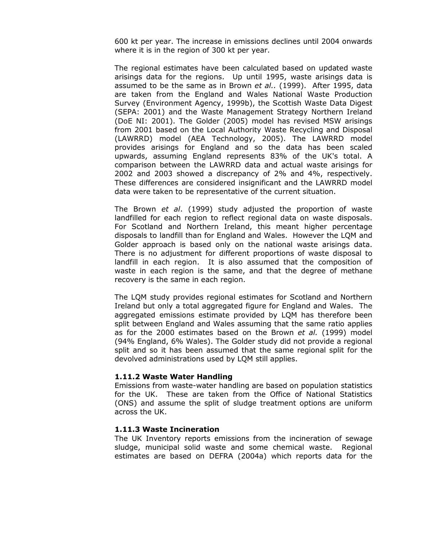600 kt per year. The increase in emissions declines until 2004 onwards where it is in the region of 300 kt per year.

The regional estimates have been calculated based on updated waste arisings data for the regions. Up until 1995, waste arisings data is assumed to be the same as in Brown et al.. (1999). After 1995, data are taken from the England and Wales National Waste Production Survey (Environment Agency, 1999b), the Scottish Waste Data Digest (SEPA: 2001) and the Waste Management Strategy Northern Ireland (DoE NI: 2001). The Golder (2005) model has revised MSW arisings from 2001 based on the Local Authority Waste Recycling and Disposal (LAWRRD) model (AEA Technology, 2005). The LAWRRD model provides arisings for England and so the data has been scaled upwards, assuming England represents 83% of the UK's total. A comparison between the LAWRRD data and actual waste arisings for 2002 and 2003 showed a discrepancy of 2% and 4%, respectively. These differences are considered insignificant and the LAWRRD model data were taken to be representative of the current situation.

The Brown et al. (1999) study adjusted the proportion of waste landfilled for each region to reflect regional data on waste disposals. For Scotland and Northern Ireland, this meant higher percentage disposals to landfill than for England and Wales. However the LQM and Golder approach is based only on the national waste arisings data. There is no adjustment for different proportions of waste disposal to landfill in each region. It is also assumed that the composition of waste in each region is the same, and that the degree of methane recovery is the same in each region.

The LQM study provides regional estimates for Scotland and Northern Ireland but only a total aggregated figure for England and Wales. The aggregated emissions estimate provided by LQM has therefore been split between England and Wales assuming that the same ratio applies as for the 2000 estimates based on the Brown et al. (1999) model (94% England, 6% Wales). The Golder study did not provide a regional split and so it has been assumed that the same regional split for the devolved administrations used by LQM still applies.

#### 1.11.2 Waste Water Handling

Emissions from waste-water handling are based on population statistics for the UK. These are taken from the Office of National Statistics (ONS) and assume the split of sludge treatment options are uniform across the UK.

#### 1.11.3 Waste Incineration

The UK Inventory reports emissions from the incineration of sewage sludge, municipal solid waste and some chemical waste. Regional estimates are based on DEFRA (2004a) which reports data for the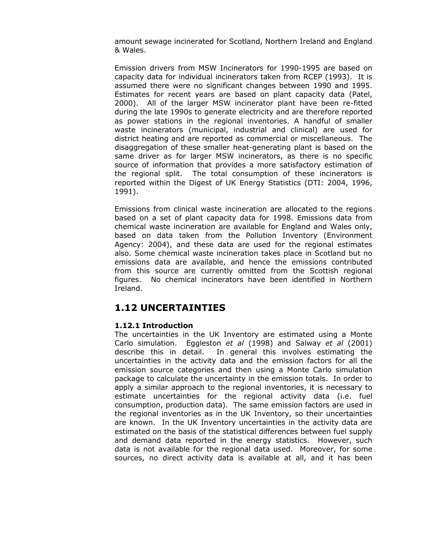amount sewage incinerated for Scotland, Northern Ireland and England & Wales.

Emission drivers from MSW Incinerators for 1990-1995 are based on capacity data for individual incinerators taken from RCEP (1993). It is assumed there were no significant changes between 1990 and 1995. Estimates for recent years are based on plant capacity data (Patel, 2000). All of the larger MSW incinerator plant have been re-fitted during the late 1990s to generate electricity and are therefore reported as power stations in the regional inventories. A handful of smaller waste incinerators (municipal, industrial and clinical) are used for district heating and are reported as commercial or miscellaneous. The disaggregation of these smaller heat-generating plant is based on the same driver as for larger MSW incinerators, as there is no specific source of information that provides a more satisfactory estimation of the regional split. The total consumption of these incinerators is reported within the Digest of UK Energy Statistics (DTI: 2004, 1996, 1991).

Emissions from clinical waste incineration are allocated to the regions based on a set of plant capacity data for 1998. Emissions data from chemical waste incineration are available for England and Wales only, based on data taken from the Pollution Inventory (Environment Agency: 2004), and these data are used for the regional estimates also. Some chemical waste incineration takes place in Scotland but no emissions data are available, and hence the emissions contributed from this source are currently omitted from the Scottish regional figures. No chemical incinerators have been identified in Northern Ireland.

## 1.12 UNCERTAINTIES

#### 1.12.1 Introduction

The uncertainties in the UK Inventory are estimated using a Monte Carlo simulation. Eggleston et al (1998) and Salway et al (2001) describe this in detail. In general this involves estimating the uncertainties in the activity data and the emission factors for all the emission source categories and then using a Monte Carlo simulation package to calculate the uncertainty in the emission totals. In order to apply a similar approach to the regional inventories, it is necessary to estimate uncertainties for the regional activity data (i.e. fuel consumption, production data). The same emission factors are used in the regional inventories as in the UK Inventory, so their uncertainties are known. In the UK Inventory uncertainties in the activity data are estimated on the basis of the statistical differences between fuel supply and demand data reported in the energy statistics. However, such data is not available for the regional data used. Moreover, for some sources, no direct activity data is available at all, and it has been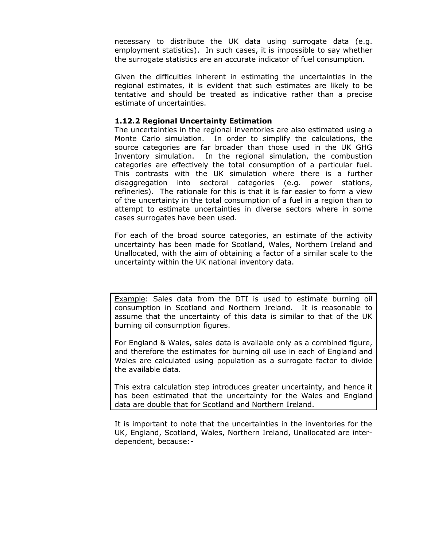necessary to distribute the UK data using surrogate data (e.g. employment statistics). In such cases, it is impossible to say whether the surrogate statistics are an accurate indicator of fuel consumption.

Given the difficulties inherent in estimating the uncertainties in the regional estimates, it is evident that such estimates are likely to be tentative and should be treated as indicative rather than a precise estimate of uncertainties.

#### 1.12.2 Regional Uncertainty Estimation

The uncertainties in the regional inventories are also estimated using a Monte Carlo simulation. In order to simplify the calculations, the source categories are far broader than those used in the UK GHG Inventory simulation. In the regional simulation, the combustion categories are effectively the total consumption of a particular fuel. This contrasts with the UK simulation where there is a further disaggregation into sectoral categories (e.g. power stations, refineries). The rationale for this is that it is far easier to form a view of the uncertainty in the total consumption of a fuel in a region than to attempt to estimate uncertainties in diverse sectors where in some cases surrogates have been used.

For each of the broad source categories, an estimate of the activity uncertainty has been made for Scotland, Wales, Northern Ireland and Unallocated, with the aim of obtaining a factor of a similar scale to the uncertainty within the UK national inventory data.

Example: Sales data from the DTI is used to estimate burning oil consumption in Scotland and Northern Ireland. It is reasonable to assume that the uncertainty of this data is similar to that of the UK burning oil consumption figures.

For England & Wales, sales data is available only as a combined figure, and therefore the estimates for burning oil use in each of England and Wales are calculated using population as a surrogate factor to divide the available data.

This extra calculation step introduces greater uncertainty, and hence it has been estimated that the uncertainty for the Wales and England data are double that for Scotland and Northern Ireland.

It is important to note that the uncertainties in the inventories for the UK, England, Scotland, Wales, Northern Ireland, Unallocated are interdependent, because:-